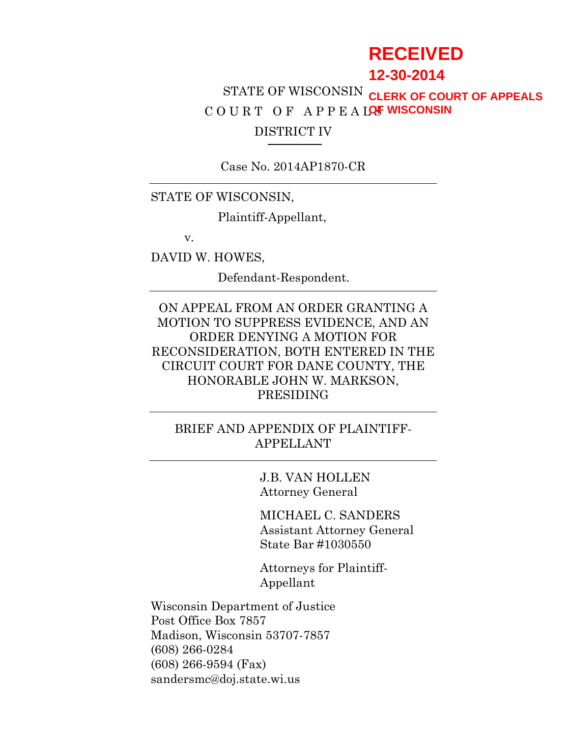# **RECEIVED**

# **12-30-2014**

# STATE OF WISCONSIN **CLERK OF COURT OF APPEALS** COURT OF APPEALOS<sup>T</sup> WISCONSIN DISTRICT IV

Case No. 2014AP1870-CR

### STATE OF WISCONSIN,

Plaintiff-Appellant,

v.

DAVID W. HOWES,

Defendant-Respondent.

ON APPEAL FROM AN ORDER GRANTING A MOTION TO SUPPRESS EVIDENCE, AND AN ORDER DENYING A MOTION FOR RECONSIDERATION, BOTH ENTERED IN THE CIRCUIT COURT FOR DANE COUNTY, THE HONORABLE JOHN W. MARKSON, PRESIDING

# BRIEF AND APPENDIX OF PLAINTIFF-APPELLANT

J.B. VAN HOLLEN Attorney General

MICHAEL C. SANDERS Assistant Attorney General State Bar #1030550

Attorneys for Plaintiff-Appellant

Wisconsin Department of Justice Post Office Box 7857 Madison, Wisconsin 53707-7857 (608) 266-0284 (608) 266-9594 (Fax) sandersmc@doj.state.wi.us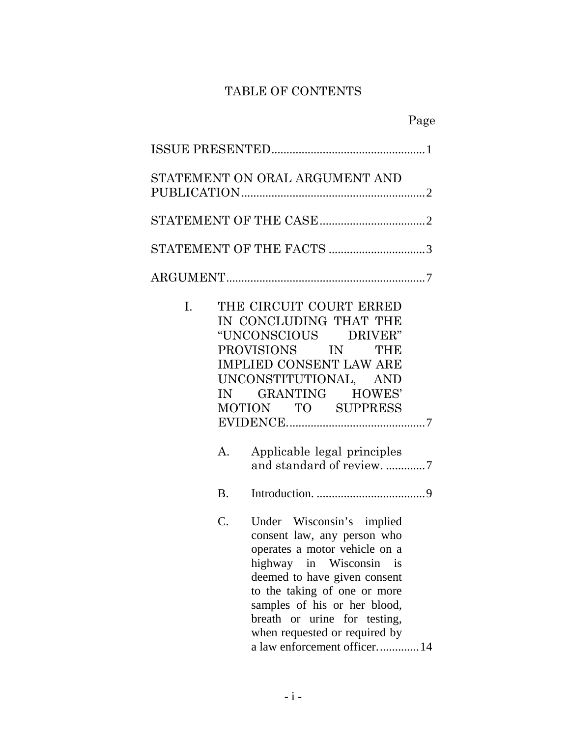# TABLE OF CONTENTS

|                | STATEMENT ON ORAL ARGUMENT AND                                                                                                                                                                                                                                                                                        |
|----------------|-----------------------------------------------------------------------------------------------------------------------------------------------------------------------------------------------------------------------------------------------------------------------------------------------------------------------|
|                |                                                                                                                                                                                                                                                                                                                       |
|                | STATEMENT OF THE FACTS 3                                                                                                                                                                                                                                                                                              |
|                |                                                                                                                                                                                                                                                                                                                       |
| L.<br>IN<br>A. | THE CIRCUIT COURT ERRED<br>IN CONCLUDING THAT THE<br>"UNCONSCIOUS DRIVER"<br>PROVISIONS IN THE<br><b>IMPLIED CONSENT LAW ARE</b><br>UNCONSTITUTIONAL, AND<br>GRANTING HOWES'<br>MOTION TO SUPPRESS<br>Applicable legal principles<br>and standard of review. 7                                                        |
| <b>B.</b>      |                                                                                                                                                                                                                                                                                                                       |
| C.             | Under Wisconsin's implied<br>consent law, any person who<br>operates a motor vehicle on a<br>highway in Wisconsin is<br>deemed to have given consent<br>to the taking of one or more<br>samples of his or her blood,<br>breath or urine for testing,<br>when requested or required by<br>a law enforcement officer 14 |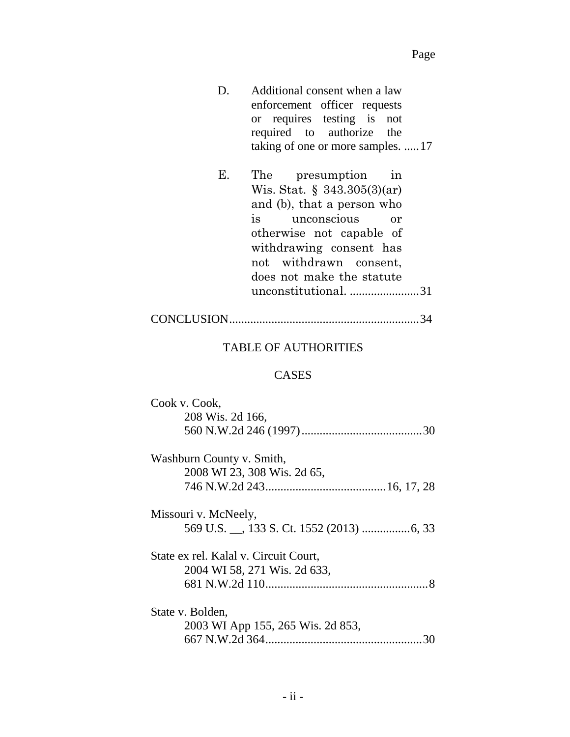- D. Additional consent when a law enforcement officer requests or requires testing is not required to authorize the taking of one or more samples. .....17
- E. The presumption in Wis. Stat. § 343.305(3)(ar) and (b), that a person who is unconscious or otherwise not capable of withdrawing consent has not withdrawn consent, does not make the statute unconstitutional. .......................31

|--|--|--|--|--|

#### TABLE OF AUTHORITIES

#### CASES

| Cook v. Cook,                         |
|---------------------------------------|
| 208 Wis. 2d 166,                      |
|                                       |
| Washburn County v. Smith,             |
| 2008 WI 23, 308 Wis. 2d 65,           |
|                                       |
| Missouri v. McNeely,                  |
|                                       |
| State ex rel. Kalal v. Circuit Court, |
| 2004 WI 58, 271 Wis. 2d 633,          |
|                                       |
| State v. Bolden,                      |
| 2003 WI App 155, 265 Wis. 2d 853,     |
|                                       |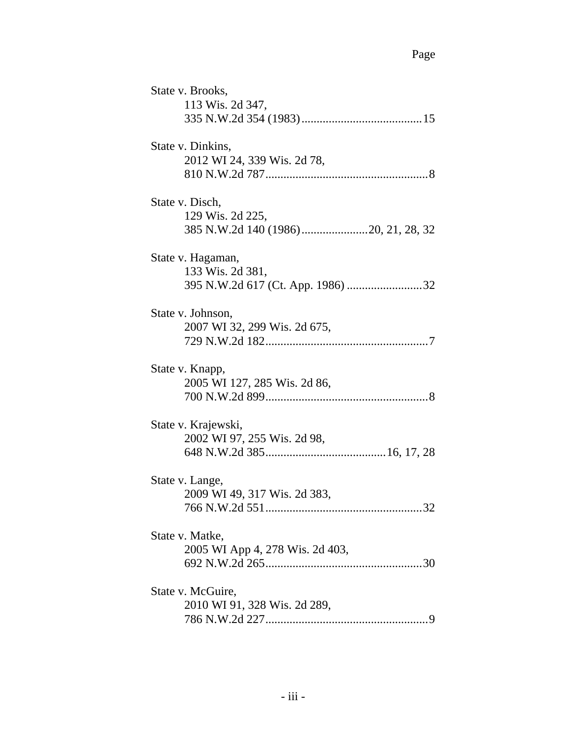| State v. Brooks,                |
|---------------------------------|
| 113 Wis. 2d 347,                |
|                                 |
| State v. Dinkins,               |
| 2012 WI 24, 339 Wis. 2d 78,     |
|                                 |
| State v. Disch,                 |
| 129 Wis. 2d 225,                |
|                                 |
| State v. Hagaman,               |
| 133 Wis. 2d 381,                |
|                                 |
| State v. Johnson,               |
| 2007 WI 32, 299 Wis. 2d 675,    |
|                                 |
| State v. Knapp,                 |
| 2005 WI 127, 285 Wis. 2d 86,    |
|                                 |
| State v. Krajewski,             |
| 2002 WI 97, 255 Wis. 2d 98,     |
|                                 |
| State v. Lange,                 |
| 2009 WI 49, 317 Wis. 2d 383,    |
|                                 |
| State v. Matke,                 |
| 2005 WI App 4, 278 Wis. 2d 403, |
|                                 |
| State v. McGuire,               |
| 2010 WI 91, 328 Wis. 2d 289,    |
|                                 |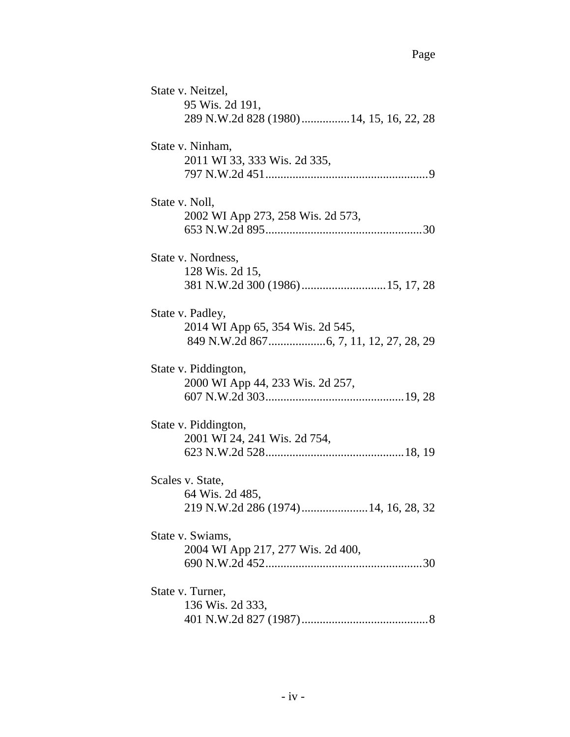| State v. Neitzel,<br>95 Wis. 2d 191,<br>289 N.W.2d 828 (1980) 14, 15, 16, 22, 28 |
|----------------------------------------------------------------------------------|
| State v. Ninham,<br>2011 WI 33, 333 Wis. 2d 335,                                 |
| State v. Noll,<br>2002 WI App 273, 258 Wis. 2d 573,                              |
| State v. Nordness,<br>128 Wis. 2d 15,<br>381 N.W.2d 300 (1986)  15, 17, 28       |
| State v. Padley,<br>2014 WI App 65, 354 Wis. 2d 545,                             |
| State v. Piddington,<br>2000 WI App 44, 233 Wis. 2d 257,                         |
| State v. Piddington,<br>2001 WI 24, 241 Wis. 2d 754,                             |
| Scales v. State,<br>64 Wis. 2d 485,                                              |
| State v. Swiams,<br>2004 WI App 217, 277 Wis. 2d 400,                            |
| State v. Turner,<br>136 Wis. 2d 333,                                             |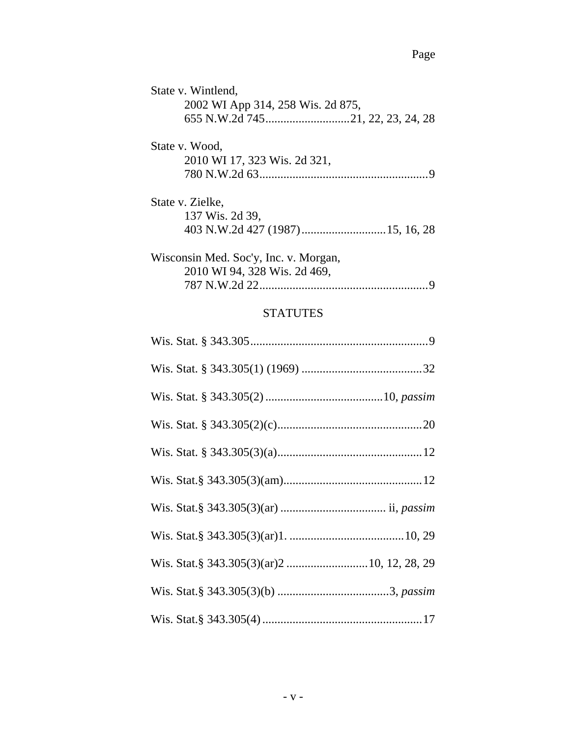# **STATUTES**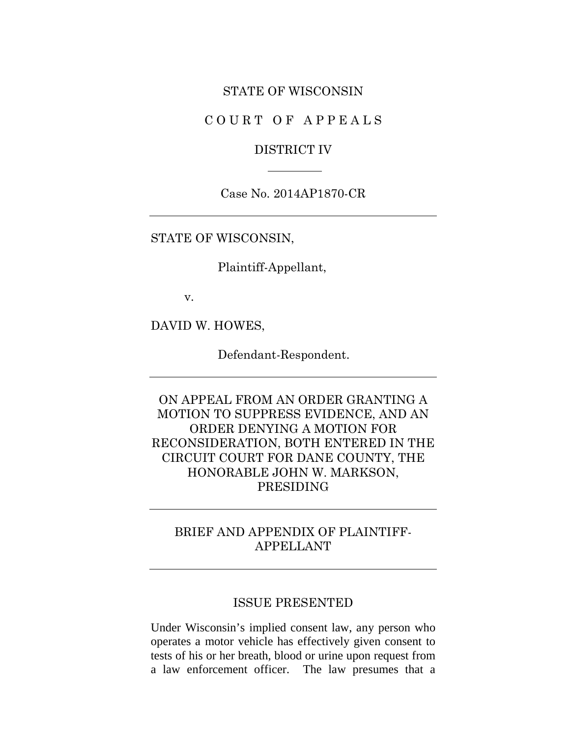#### STATE OF WISCONSIN

COURT OF APPEALS

#### DISTRICT IV

Case No. 2014AP1870-CR

STATE OF WISCONSIN,

Plaintiff-Appellant,

v.

DAVID W. HOWES,

Defendant-Respondent.

ON APPEAL FROM AN ORDER GRANTING A MOTION TO SUPPRESS EVIDENCE, AND AN ORDER DENYING A MOTION FOR RECONSIDERATION, BOTH ENTERED IN THE CIRCUIT COURT FOR DANE COUNTY, THE HONORABLE JOHN W. MARKSON, PRESIDING

# BRIEF AND APPENDIX OF PLAINTIFF-APPELLANT

#### ISSUE PRESENTED

Under Wisconsin's implied consent law, any person who operates a motor vehicle has effectively given consent to tests of his or her breath, blood or urine upon request from a law enforcement officer. The law presumes that a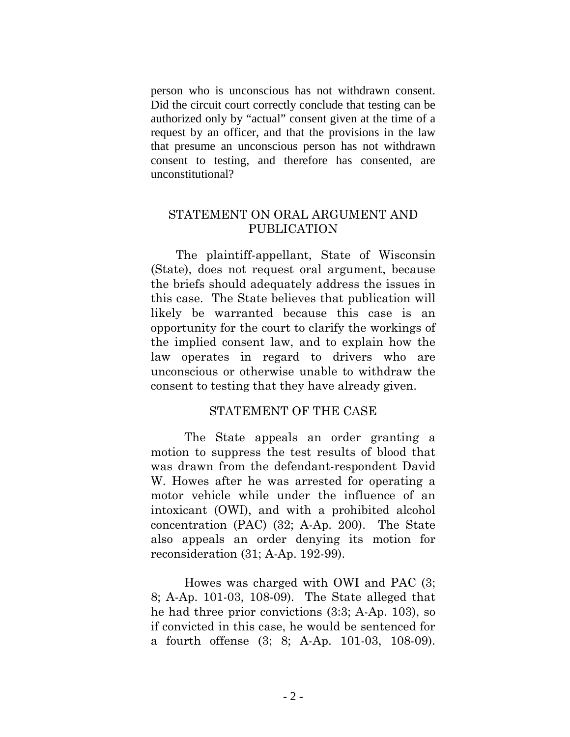person who is unconscious has not withdrawn consent. Did the circuit court correctly conclude that testing can be authorized only by "actual" consent given at the time of a request by an officer, and that the provisions in the law that presume an unconscious person has not withdrawn consent to testing, and therefore has consented, are unconstitutional?

### STATEMENT ON ORAL ARGUMENT AND PUBLICATION

The plaintiff-appellant, State of Wisconsin (State), does not request oral argument, because the briefs should adequately address the issues in this case. The State believes that publication will likely be warranted because this case is an opportunity for the court to clarify the workings of the implied consent law, and to explain how the law operates in regard to drivers who are unconscious or otherwise unable to withdraw the consent to testing that they have already given.

#### STATEMENT OF THE CASE

The State appeals an order granting a motion to suppress the test results of blood that was drawn from the defendant-respondent David W. Howes after he was arrested for operating a motor vehicle while under the influence of an intoxicant (OWI), and with a prohibited alcohol concentration (PAC) (32; A-Ap. 200). The State also appeals an order denying its motion for reconsideration (31; A-Ap. 192-99).

Howes was charged with OWI and PAC (3; 8; A-Ap. 101-03, 108-09). The State alleged that he had three prior convictions (3:3; A-Ap. 103), so if convicted in this case, he would be sentenced for a fourth offense (3; 8; A-Ap. 101-03, 108-09).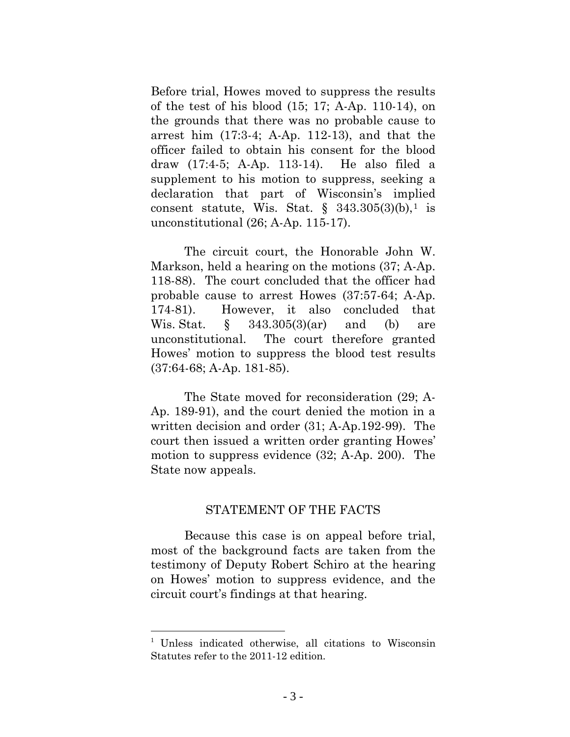Before trial, Howes moved to suppress the results of the test of his blood (15; 17; A-Ap. 110-14), on the grounds that there was no probable cause to arrest him (17:3-4; A-Ap. 112-13), and that the officer failed to obtain his consent for the blood draw (17:4-5; A-Ap. 113-14). He also filed a supplement to his motion to suppress, seeking a declaration that part of Wisconsin's implied consent statute, Wis. Stat.  $\S$  343.305(3)(b),<sup>[1](#page-8-0)</sup> is unconstitutional (26; A-Ap. 115-17).

The circuit court, the Honorable John W. Markson, held a hearing on the motions (37; A-Ap. 118-88). The court concluded that the officer had probable cause to arrest Howes (37:57-64; A-Ap. 174-81). However, it also concluded that Wis. Stat.  $\S$  343.305(3)(ar) and (b) are unconstitutional. The court therefore granted Howes' motion to suppress the blood test results (37:64-68; A-Ap. 181-85).

The State moved for reconsideration (29; A-Ap. 189-91), and the court denied the motion in a written decision and order (31; A-Ap.192-99). The court then issued a written order granting Howes' motion to suppress evidence (32; A-Ap. 200). The State now appeals.

#### STATEMENT OF THE FACTS

Because this case is on appeal before trial, most of the background facts are taken from the testimony of Deputy Robert Schiro at the hearing on Howes' motion to suppress evidence, and the circuit court's findings at that hearing.

 $\overline{a}$ 

<span id="page-8-0"></span><sup>&</sup>lt;sup>1</sup> Unless indicated otherwise, all citations to Wisconsin Statutes refer to the 2011-12 edition.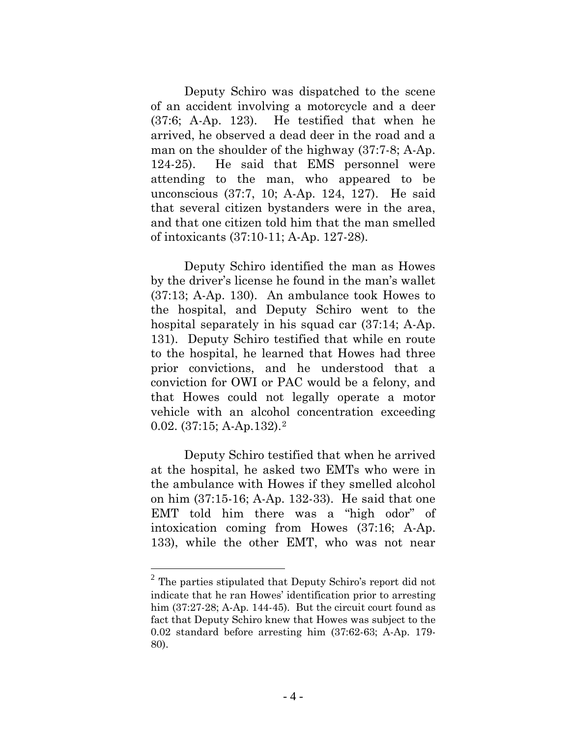Deputy Schiro was dispatched to the scene of an accident involving a motorcycle and a deer (37:6; A-Ap. 123). He testified that when he arrived, he observed a dead deer in the road and a man on the shoulder of the highway (37:7-8; A-Ap. 124-25). He said that EMS personnel were attending to the man, who appeared to be unconscious (37:7, 10; A-Ap. 124, 127). He said that several citizen bystanders were in the area, and that one citizen told him that the man smelled of intoxicants (37:10-11; A-Ap. 127-28).

Deputy Schiro identified the man as Howes by the driver's license he found in the man's wallet (37:13; A-Ap. 130). An ambulance took Howes to the hospital, and Deputy Schiro went to the hospital separately in his squad car (37:14; A-Ap. 131). Deputy Schiro testified that while en route to the hospital, he learned that Howes had three prior convictions, and he understood that a conviction for OWI or PAC would be a felony, and that Howes could not legally operate a motor vehicle with an alcohol concentration exceeding 0.02. (37:15; A-Ap.132).[2](#page-9-0) 

Deputy Schiro testified that when he arrived at the hospital, he asked two EMTs who were in the ambulance with Howes if they smelled alcohol on him (37:15-16; A-Ap. 132-33). He said that one EMT told him there was a "high odor" of intoxication coming from Howes (37:16; A-Ap. 133), while the other EMT, who was not near

 $\overline{a}$ 

<span id="page-9-0"></span> $2$  The parties stipulated that Deputy Schiro's report did not indicate that he ran Howes' identification prior to arresting him (37:27-28; A-Ap. 144-45). But the circuit court found as fact that Deputy Schiro knew that Howes was subject to the 0.02 standard before arresting him (37:62-63; A-Ap. 179- 80).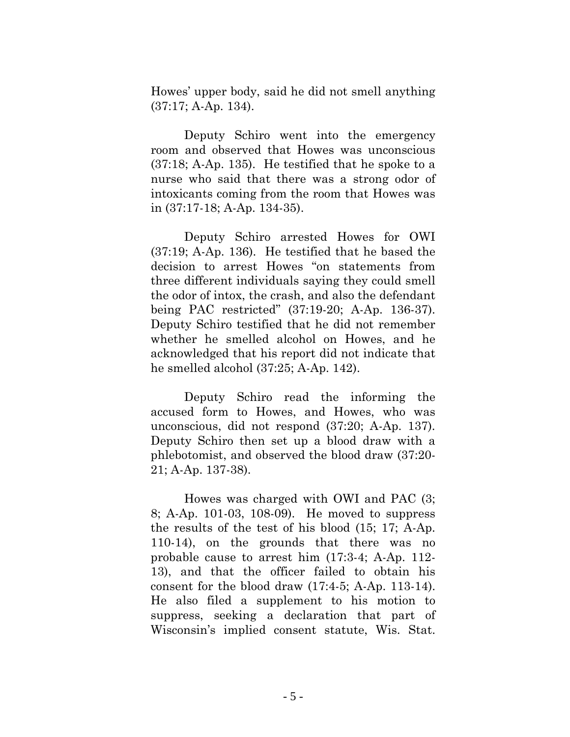Howes' upper body, said he did not smell anything (37:17; A-Ap. 134).

Deputy Schiro went into the emergency room and observed that Howes was unconscious (37:18; A-Ap. 135). He testified that he spoke to a nurse who said that there was a strong odor of intoxicants coming from the room that Howes was in (37:17-18; A-Ap. 134-35).

Deputy Schiro arrested Howes for OWI (37:19; A-Ap. 136). He testified that he based the decision to arrest Howes "on statements from three different individuals saying they could smell the odor of intox, the crash, and also the defendant being PAC restricted" (37:19-20; A-Ap. 136-37). Deputy Schiro testified that he did not remember whether he smelled alcohol on Howes, and he acknowledged that his report did not indicate that he smelled alcohol (37:25; A-Ap. 142).

Deputy Schiro read the informing the accused form to Howes, and Howes, who was unconscious, did not respond (37:20; A-Ap. 137). Deputy Schiro then set up a blood draw with a phlebotomist, and observed the blood draw (37:20- 21; A-Ap. 137-38).

Howes was charged with OWI and PAC (3; 8; A-Ap. 101-03, 108-09). He moved to suppress the results of the test of his blood (15; 17; A-Ap. 110-14), on the grounds that there was no probable cause to arrest him (17:3-4; A-Ap. 112- 13), and that the officer failed to obtain his consent for the blood draw (17:4-5; A-Ap. 113-14). He also filed a supplement to his motion to suppress, seeking a declaration that part of Wisconsin's implied consent statute, Wis. Stat.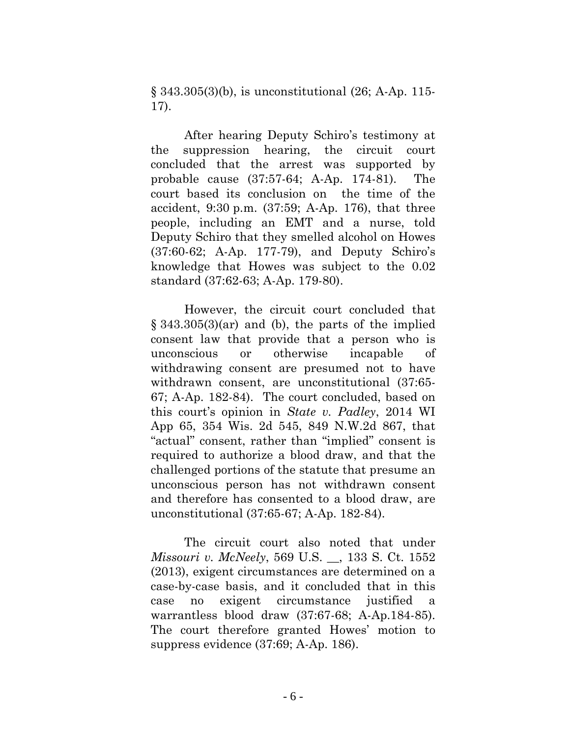§ 343.305(3)(b), is unconstitutional (26; A-Ap. 115- 17).

After hearing Deputy Schiro's testimony at the suppression hearing, the circuit court concluded that the arrest was supported by probable cause (37:57-64; A-Ap. 174-81). The court based its conclusion on the time of the accident, 9:30 p.m. (37:59; A-Ap. 176), that three people, including an EMT and a nurse, told Deputy Schiro that they smelled alcohol on Howes (37:60-62; A-Ap. 177-79), and Deputy Schiro's knowledge that Howes was subject to the 0.02 standard (37:62-63; A-Ap. 179-80).

However, the circuit court concluded that § 343.305(3)(ar) and (b), the parts of the implied consent law that provide that a person who is unconscious or otherwise incapable of withdrawing consent are presumed not to have withdrawn consent, are unconstitutional (37:65- 67; A-Ap. 182-84). The court concluded, based on this court's opinion in *State v. Padley*, 2014 WI App 65, 354 Wis. 2d 545, 849 N.W.2d 867, that "actual" consent, rather than "implied" consent is required to authorize a blood draw, and that the challenged portions of the statute that presume an unconscious person has not withdrawn consent and therefore has consented to a blood draw, are unconstitutional (37:65-67; A-Ap. 182-84).

The circuit court also noted that under *Missouri v. McNeely*, 569 U.S. \_\_, 133 S. Ct. 1552 (2013), exigent circumstances are determined on a case-by-case basis, and it concluded that in this case no exigent circumstance justified a warrantless blood draw (37:67-68; A-Ap.184-85). The court therefore granted Howes' motion to suppress evidence (37:69; A-Ap. 186).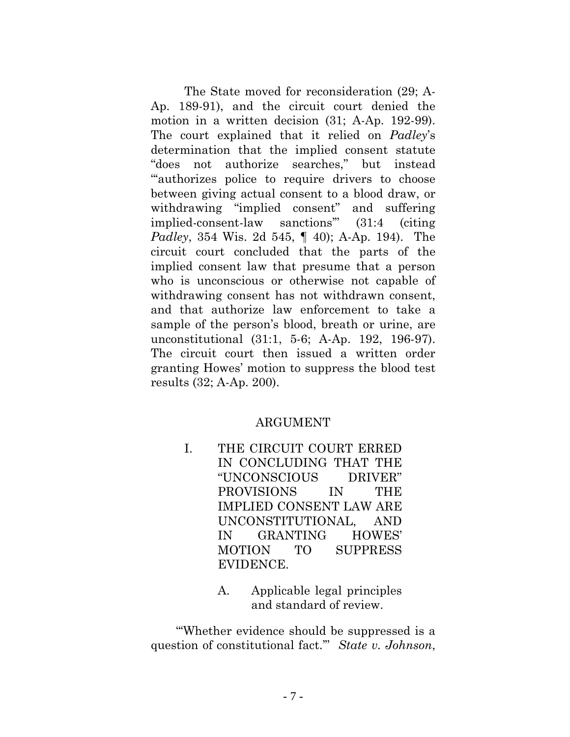The State moved for reconsideration (29; A-Ap. 189-91), and the circuit court denied the motion in a written decision (31; A-Ap. 192-99). The court explained that it relied on *Padley*'s determination that the implied consent statute "does not authorize searches," but instead "'authorizes police to require drivers to choose between giving actual consent to a blood draw, or withdrawing "implied consent" and suffering implied-consent-law sanctions'" (31:4 (citing *Padley*, 354 Wis. 2d 545, ¶ 40); A-Ap. 194). The circuit court concluded that the parts of the implied consent law that presume that a person who is unconscious or otherwise not capable of withdrawing consent has not withdrawn consent, and that authorize law enforcement to take a sample of the person's blood, breath or urine, are unconstitutional (31:1, 5-6; A-Ap. 192, 196-97). The circuit court then issued a written order granting Howes' motion to suppress the blood test results (32; A-Ap. 200).

## ARGUMENT

- I. THE CIRCUIT COURT ERRED IN CONCLUDING THAT THE "UNCONSCIOUS DRIVER" PROVISIONS IN THE IMPLIED CONSENT LAW ARE UNCONSTITUTIONAL, AND IN GRANTING HOWES' MOTION TO SUPPRESS EVIDENCE.
	- A. Applicable legal principles and standard of review.

"'Whether evidence should be suppressed is a question of constitutional fact.'" *State v. Johnson*,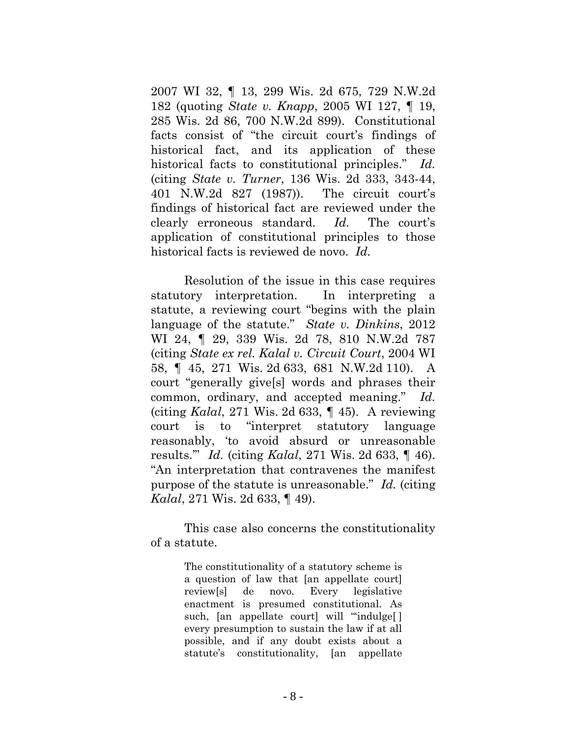2007 WI 32, ¶ 13, 299 Wis. 2d 675, 729 N.W.2d 182 (quoting *State v. Knapp*, 2005 WI 127, ¶ 19, 285 Wis. 2d 86, 700 N.W.2d 899). Constitutional facts consist of "the circuit court's findings of historical fact, and its application of these historical facts to constitutional principles." *Id.*  (citing *State v. Turner*, 136 Wis. 2d 333, 343-44, 401 N.W.2d 827 (1987)). The circuit court's findings of historical fact are reviewed under the clearly erroneous standard. *Id.* The court's application of constitutional principles to those historical facts is reviewed de novo. *Id.*

Resolution of the issue in this case requires statutory interpretation. In interpreting a statute, a reviewing court "begins with the plain language of the statute." *State v. Dinkins*, 2012 WI 24, ¶ 29, 339 Wis. 2d 78, 810 N.W.2d 787 (citing *State ex rel. Kalal v. Circuit Court*, 2004 WI 58, ¶ 45, 271 Wis. 2d 633, 681 N.W.2d 110). A court "generally give[s] words and phrases their common, ordinary, and accepted meaning." *Id.* (citing *Kalal*, 271 Wis. 2d 633, ¶ 45). A reviewing court is to "interpret statutory language reasonably, 'to avoid absurd or unreasonable results.'" *Id.* (citing *Kalal*, 271 Wis. 2d 633, ¶ 46). "An interpretation that contravenes the manifest purpose of the statute is unreasonable." *Id.* (citing *Kalal*, 271 Wis. 2d 633, ¶ 49).

This case also concerns the constitutionality of a statute.

> The constitutionality of a statutory scheme is a question of law that [an appellate court] review[s] de novo. Every legislative enactment is presumed constitutional. As such, [an appellate court] will "indulge[] every presumption to sustain the law if at all possible, and if any doubt exists about a statute's constitutionality, [an appellate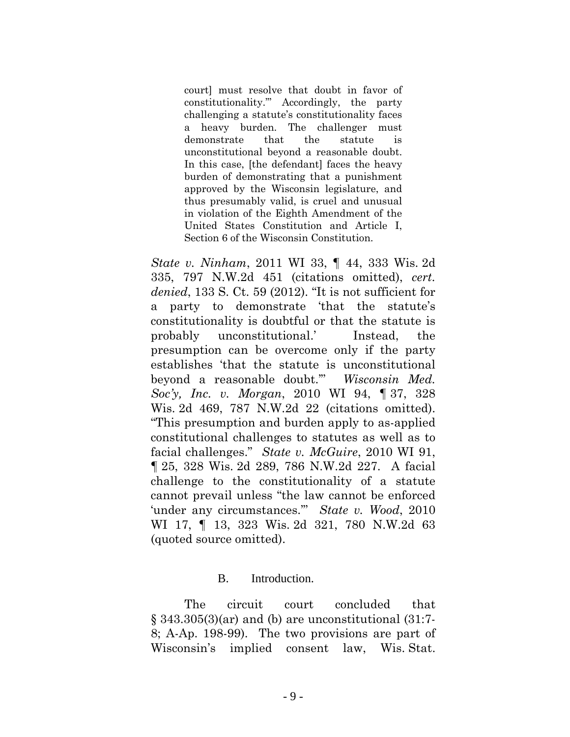court] must resolve that doubt in favor of constitutionality.'" Accordingly, the party challenging a statute's constitutionality faces a heavy burden. The challenger must demonstrate that the statute is unconstitutional beyond a reasonable doubt. In this case, [the defendant] faces the heavy burden of demonstrating that a punishment approved by the Wisconsin legislature, and thus presumably valid, is cruel and unusual in violation of the Eighth Amendment of the United States Constitution and Article I, Section 6 of the Wisconsin Constitution.

*State v. Ninham*, 2011 WI 33, ¶ 44, 333 Wis. 2d 335, 797 N.W.2d 451 (citations omitted), *cert. denied*, 133 S. Ct. 59 (2012). "It is not sufficient for a party to demonstrate 'that the statute's constitutionality is doubtful or that the statute is probably unconstitutional.' Instead, the presumption can be overcome only if the party establishes 'that the statute is unconstitutional beyond a reasonable doubt.'" *Wisconsin Med. Soc'y, Inc. v. Morgan*, 2010 WI 94, ¶ 37, 328 Wis. 2d 469, 787 N.W.2d 22 (citations omitted). "This presumption and burden apply to as-applied constitutional challenges to statutes as well as to facial challenges." *State v. McGuire*, 2010 WI 91, ¶ 25, 328 Wis. 2d 289, 786 N.W.2d 227. A facial challenge to the constitutionality of a statute cannot prevail unless "the law cannot be enforced 'under any circumstances.'" *State v. Wood*, 2010 WI 17, ¶ 13, 323 Wis. 2d 321, 780 N.W.2d 63 (quoted source omitted).

#### B. Introduction.

The circuit court concluded that  $\S$  343.305(3)(ar) and (b) are unconstitutional (31:7-8; A-Ap. 198-99). The two provisions are part of Wisconsin's implied consent law, Wis. Stat.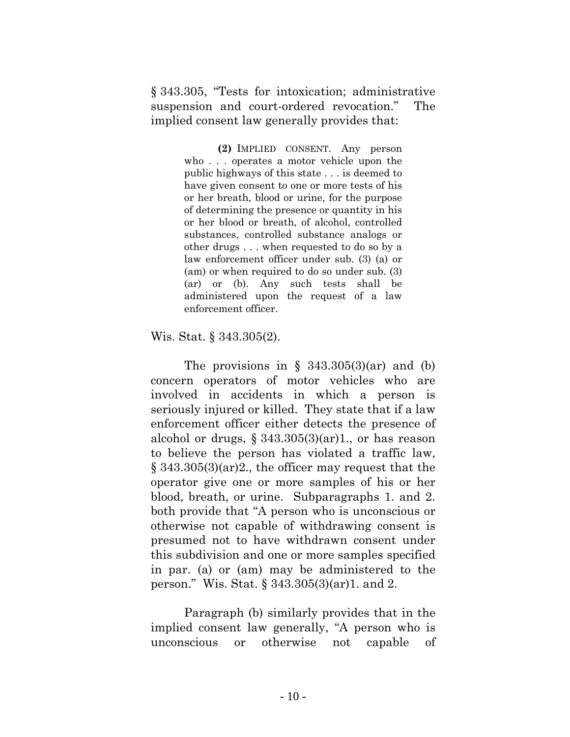§ 343.305, "Tests for intoxication; administrative suspension and court-ordered revocation." The implied consent law generally provides that:

> **(2)** IMPLIED CONSENT. Any person who . . . operates a motor vehicle upon the public highways of this state . . . is deemed to have given consent to one or more tests of his or her breath, blood or urine, for the purpose of determining the presence or quantity in his or her blood or breath, of alcohol, controlled substances, controlled substance analogs or other drugs . . . when requested to do so by a law enforcement officer under sub. [\(3\) \(a\)](http://docs.legis.wisconsin.gov/document/statutes/343.305(3)(a)) or [\(am\)](http://docs.legis.wisconsin.gov/document/statutes/343.305(3)(am)) or when required to do so under sub. [\(3\)](http://docs.legis.wisconsin.gov/document/statutes/343.305(3)(ar))  [\(ar\)](http://docs.legis.wisconsin.gov/document/statutes/343.305(3)(ar)) or [\(b\).](http://docs.legis.wisconsin.gov/document/statutes/343.305(3)(b)) Any such tests shall be administered upon the request of a law enforcement officer.

Wis. Stat. § 343.305(2).

The provisions in  $\S$  343.305(3)(ar) and (b) concern operators of motor vehicles who are involved in accidents in which a person is seriously injured or killed. They state that if a law enforcement officer either detects the presence of alcohol or drugs,  $\S 343.305(3)(ar)1$ , or has reason to believe the person has violated a traffic law, § 343.305(3)(ar)2., the officer may request that the operator give one or more samples of his or her blood, breath, or urine. Subparagraphs 1. and 2. both provide that "A person who is unconscious or otherwise not capable of withdrawing consent is presumed not to have withdrawn consent under this subdivision and one or more samples specified in par. [\(a\)](http://docs.legis.wisconsin.gov/document/statutes/343.305(3)(a)) or [\(am\)](http://docs.legis.wisconsin.gov/document/statutes/343.305(3)(am)) may be administered to the person." Wis. Stat. § 343.305(3)(ar)1. and 2.

Paragraph (b) similarly provides that in the implied consent law generally, "A person who is unconscious or otherwise not capable of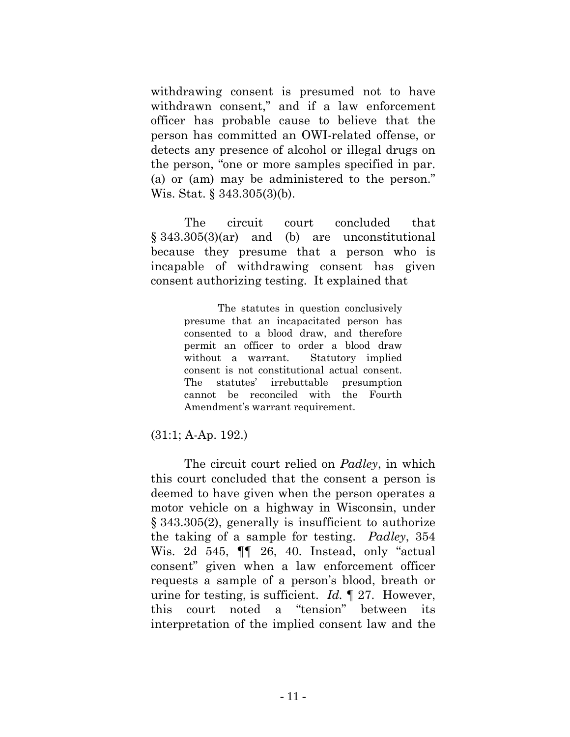withdrawing consent is presumed not to have withdrawn consent," and if a law enforcement officer has probable cause to believe that the person has committed an OWI-related offense, or detects any presence of alcohol or illegal drugs on the person, "one or more samples specified in par. [\(a\)](http://docs.legis.wisconsin.gov/document/statutes/343.305(3)(a)) or [\(am\)](http://docs.legis.wisconsin.gov/document/statutes/343.305(3)(am)) may be administered to the person." Wis. Stat. § 343.305(3)(b).

The circuit court concluded that § 343.305(3)(ar) and (b) are unconstitutional because they presume that a person who is incapable of withdrawing consent has given consent authorizing testing. It explained that

> The statutes in question conclusively presume that an incapacitated person has consented to a blood draw, and therefore permit an officer to order a blood draw without a warrant. Statutory implied consent is not constitutional actual consent. The statutes' irrebuttable presumption cannot be reconciled with the Fourth Amendment's warrant requirement.

(31:1; A-Ap. 192.)

The circuit court relied on *Padley*, in which this court concluded that the consent a person is deemed to have given when the person operates a motor vehicle on a highway in Wisconsin, under § 343.305(2), generally is insufficient to authorize the taking of a sample for testing. *Padley*, 354 Wis. 2d 545, ¶¶ 26, 40. Instead, only "actual consent" given when a law enforcement officer requests a sample of a person's blood, breath or urine for testing, is sufficient. *Id.* ¶ 27. However, this court noted a "tension" between its interpretation of the implied consent law and the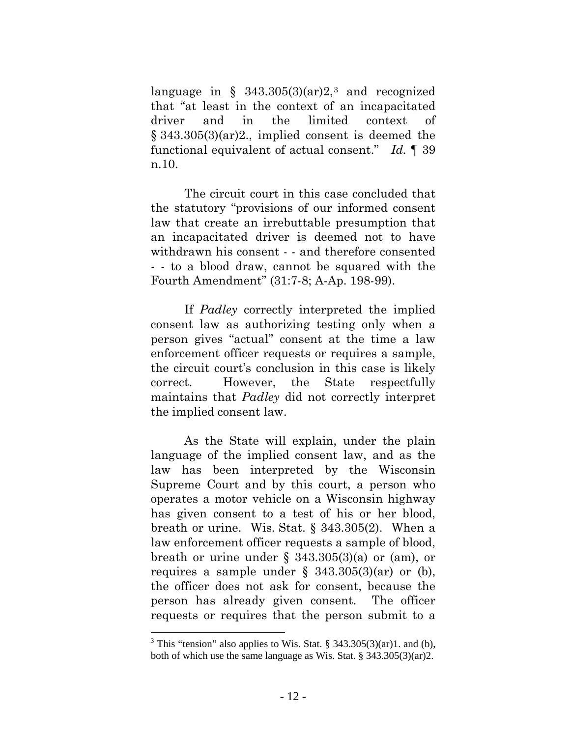language in §  $343.305(3)(ar)2$  $343.305(3)(ar)2$ <sup>3</sup> and recognized that "at least in the context of an incapacitated driver and in the limited context of § 343.305(3)(ar)2., implied consent is deemed the functional equivalent of actual consent." *Id.* ¶ 39 n.10.

The circuit court in this case concluded that the statutory "provisions of our informed consent law that create an irrebuttable presumption that an incapacitated driver is deemed not to have withdrawn his consent - - and therefore consented - - to a blood draw, cannot be squared with the Fourth Amendment" (31:7-8; A-Ap. 198-99).

If *Padley* correctly interpreted the implied consent law as authorizing testing only when a person gives "actual" consent at the time a law enforcement officer requests or requires a sample, the circuit court's conclusion in this case is likely correct. However, the State respectfully maintains that *Padley* did not correctly interpret the implied consent law.

As the State will explain, under the plain language of the implied consent law, and as the law has been interpreted by the Wisconsin Supreme Court and by this court, a person who operates a motor vehicle on a Wisconsin highway has given consent to a test of his or her blood, breath or urine. Wis. Stat. § 343.305(2). When a law enforcement officer requests a sample of blood, breath or urine under  $\S$  343.305(3)(a) or (am), or requires a sample under  $\S$  343.305(3)(ar) or (b), the officer does not ask for consent, because the person has already given consent. The officer requests or requires that the person submit to a

 $\overline{a}$ 

<span id="page-17-0"></span> $3$  This "tension" also applies to Wis. Stat. § 343.305(3)(ar)1. and (b), both of which use the same language as Wis. Stat. § 343.305(3)(ar)2.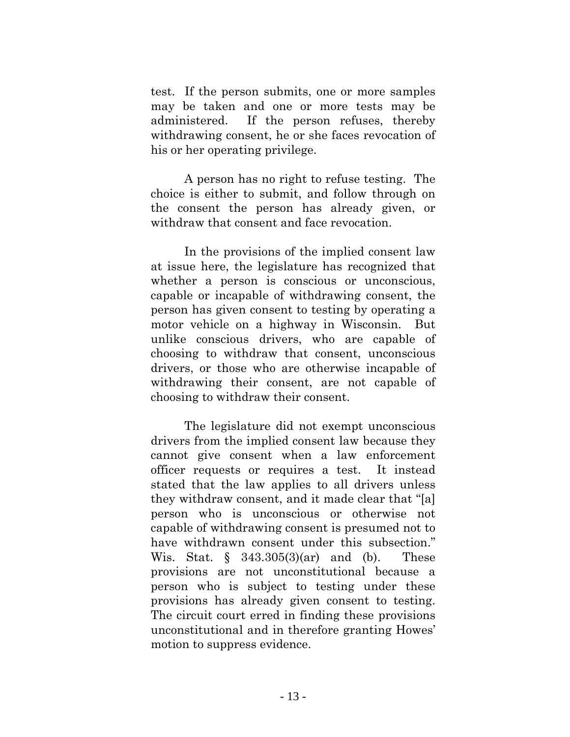test. If the person submits, one or more samples may be taken and one or more tests may be administered. If the person refuses, thereby withdrawing consent, he or she faces revocation of his or her operating privilege.

A person has no right to refuse testing. The choice is either to submit, and follow through on the consent the person has already given, or withdraw that consent and face revocation.

In the provisions of the implied consent law at issue here, the legislature has recognized that whether a person is conscious or unconscious, capable or incapable of withdrawing consent, the person has given consent to testing by operating a motor vehicle on a highway in Wisconsin. But unlike conscious drivers, who are capable of choosing to withdraw that consent, unconscious drivers, or those who are otherwise incapable of withdrawing their consent, are not capable of choosing to withdraw their consent.

The legislature did not exempt unconscious drivers from the implied consent law because they cannot give consent when a law enforcement officer requests or requires a test. It instead stated that the law applies to all drivers unless they withdraw consent, and it made clear that "[a] person who is unconscious or otherwise not capable of withdrawing consent is presumed not to have withdrawn consent under this subsection." Wis. Stat. § 343.305(3)(ar) and (b). These provisions are not unconstitutional because a person who is subject to testing under these provisions has already given consent to testing. The circuit court erred in finding these provisions unconstitutional and in therefore granting Howes' motion to suppress evidence.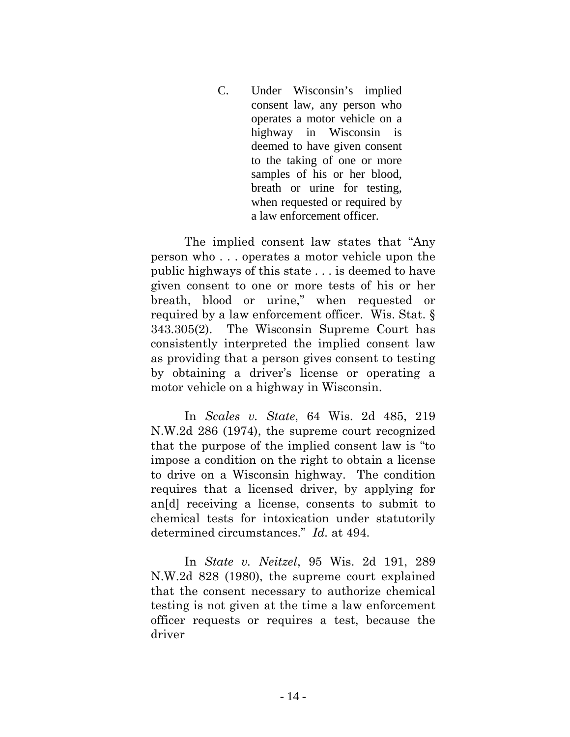C. Under Wisconsin's implied consent law, any person who operates a motor vehicle on a highway in Wisconsin is deemed to have given consent to the taking of one or more samples of his or her blood, breath or urine for testing, when requested or required by a law enforcement officer.

The implied consent law states that "Any person who . . . operates a motor vehicle upon the public highways of this state . . . is deemed to have given consent to one or more tests of his or her breath, blood or urine," when requested or required by a law enforcement officer. Wis. Stat. § 343.305(2). The Wisconsin Supreme Court has consistently interpreted the implied consent law as providing that a person gives consent to testing by obtaining a driver's license or operating a motor vehicle on a highway in Wisconsin.

In *Scales v. State*, 64 Wis. 2d 485, 219 N.W.2d 286 (1974), the supreme court recognized that the purpose of the implied consent law is "to impose a condition on the right to obtain a license to drive on a Wisconsin highway. The condition requires that a licensed driver, by applying for an[d] receiving a license, consents to submit to chemical tests for intoxication under statutorily determined circumstances." *Id.* at 494.

In *State v. Neitzel*, 95 Wis. 2d 191, 289 N.W.2d 828 (1980), the supreme court explained that the consent necessary to authorize chemical testing is not given at the time a law enforcement officer requests or requires a test, because the driver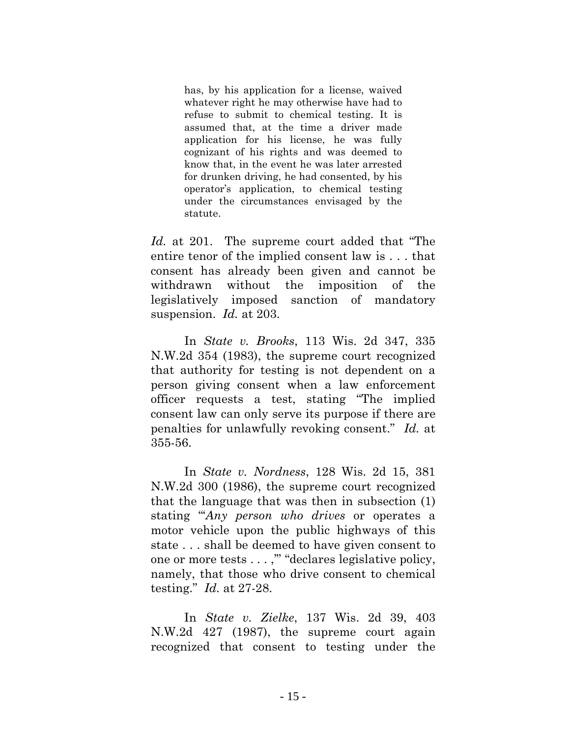has, by his application for a license, waived whatever right he may otherwise have had to refuse to submit to chemical testing. It is assumed that, at the time a driver made application for his license, he was fully cognizant of his rights and was deemed to know that, in the event he was later arrested for drunken driving, he had consented, by his operator's application, to chemical testing under the circumstances envisaged by the statute.

*Id.* at 201. The supreme court added that "The entire tenor of the implied consent law is . . . that consent has already been given and cannot be withdrawn without the imposition of the legislatively imposed sanction of mandatory suspension. *Id.* at 203.

In *State v. Brooks*, 113 Wis. 2d 347, 335 N.W.2d 354 (1983), the supreme court recognized that authority for testing is not dependent on a person giving consent when a law enforcement officer requests a test, stating "The implied consent law can only serve its purpose if there are penalties for unlawfully revoking consent." *Id.* at 355-56.

In *State v. Nordness*, 128 Wis. 2d 15, 381 N.W.2d 300 (1986), the supreme court recognized that the language that was then in subsection (1) stating "'*Any person who drives* or operates a motor vehicle upon the public highways of this state . . . shall be deemed to have given consent to one or more tests . . . ,'" "declares legislative policy, namely, that those who drive consent to chemical testing." *Id.* at 27-28.

In *State v. Zielke*, 137 Wis. 2d 39, 403 N.W.2d 427 (1987), the supreme court again recognized that consent to testing under the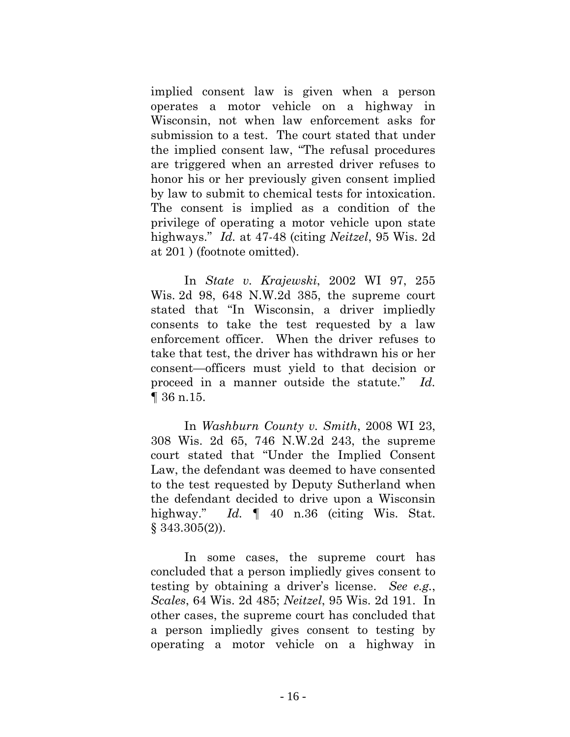implied consent law is given when a person operates a motor vehicle on a highway in Wisconsin, not when law enforcement asks for submission to a test. The court stated that under the implied consent law, "The refusal procedures are triggered when an arrested driver refuses to honor his or her previously given consent implied by law to submit to chemical tests for intoxication. The consent is implied as a condition of the privilege of operating a motor vehicle upon state highways." *Id.* at 47-48 (citing *Neitzel*, 95 Wis. 2d at 201 ) (footnote omitted).

In *State v. Krajewski*, 2002 WI 97, 255 Wis. 2d 98, 648 N.W.2d 385, the supreme court stated that "In Wisconsin, a driver impliedly consents to take the test requested by a law enforcement officer. When the driver refuses to take that test, the driver has withdrawn his or her consent—officers must yield to that decision or proceed in a manner outside the statute." *Id.* ¶ 36 n.15.

In *Washburn County v. Smith*, 2008 WI 23, 308 Wis. 2d 65, 746 N.W.2d 243, the supreme court stated that "Under the Implied Consent Law, the defendant was deemed to have consented to the test requested by Deputy Sutherland when the defendant decided to drive upon a Wisconsin highway." *Id.*  $\parallel$  40 n.36 (citing Wis. Stat. § 343.305(2)).

In some cases, the supreme court has concluded that a person impliedly gives consent to testing by obtaining a driver's license. *See e.g.*, *Scales*, 64 Wis. 2d 485; *Neitzel*, 95 Wis. 2d 191. In other cases, the supreme court has concluded that a person impliedly gives consent to testing by operating a motor vehicle on a highway in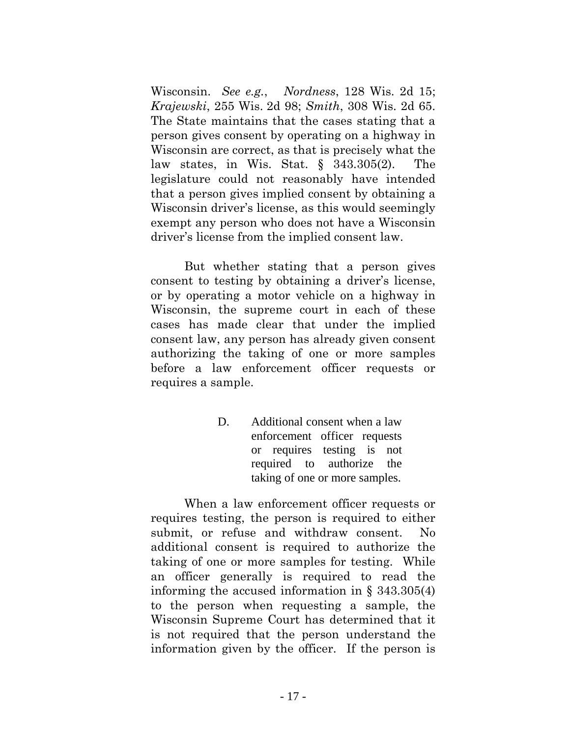Wisconsin. *See e.g.*, *Nordness*, 128 Wis. 2d 15; *Krajewski*, 255 Wis. 2d 98; *Smith*, 308 Wis. 2d 65. The State maintains that the cases stating that a person gives consent by operating on a highway in Wisconsin are correct, as that is precisely what the law states, in Wis. Stat. § 343.305(2). The legislature could not reasonably have intended that a person gives implied consent by obtaining a Wisconsin driver's license, as this would seemingly exempt any person who does not have a Wisconsin driver's license from the implied consent law.

But whether stating that a person gives consent to testing by obtaining a driver's license, or by operating a motor vehicle on a highway in Wisconsin, the supreme court in each of these cases has made clear that under the implied consent law, any person has already given consent authorizing the taking of one or more samples before a law enforcement officer requests or requires a sample.

> D. Additional consent when a law enforcement officer requests or requires testing is not required to authorize the taking of one or more samples.

When a law enforcement officer requests or requires testing, the person is required to either submit, or refuse and withdraw consent. No additional consent is required to authorize the taking of one or more samples for testing. While an officer generally is required to read the informing the accused information in § 343.305(4) to the person when requesting a sample, the Wisconsin Supreme Court has determined that it is not required that the person understand the information given by the officer. If the person is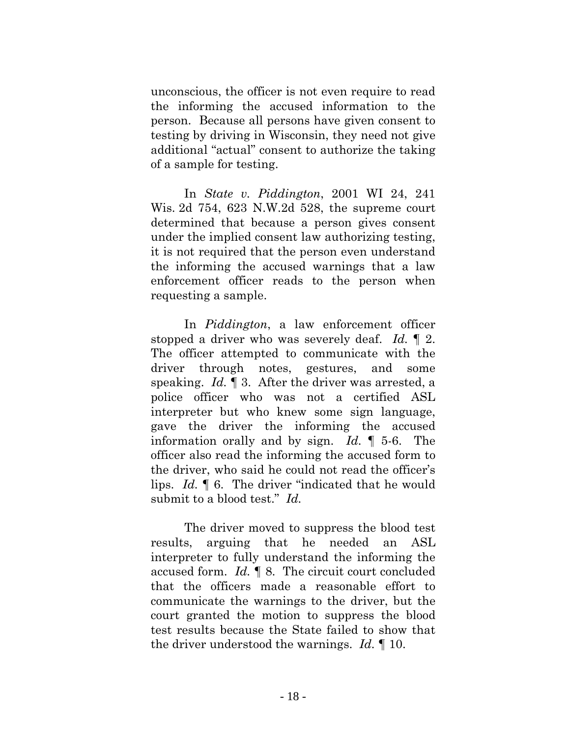unconscious, the officer is not even require to read the informing the accused information to the person. Because all persons have given consent to testing by driving in Wisconsin, they need not give additional "actual" consent to authorize the taking of a sample for testing.

In *State v. Piddington*, 2001 WI 24, 241 Wis. 2d 754, 623 N.W.2d 528, the supreme court determined that because a person gives consent under the implied consent law authorizing testing, it is not required that the person even understand the informing the accused warnings that a law enforcement officer reads to the person when requesting a sample.

In *Piddington*, a law enforcement officer stopped a driver who was severely deaf. *Id.* ¶ 2. The officer attempted to communicate with the driver through notes, gestures, and some speaking. *Id.* ¶ 3. After the driver was arrested, a police officer who was not a certified ASL interpreter but who knew some sign language, gave the driver the informing the accused information orally and by sign. *Id.* ¶ 5-6. The officer also read the informing the accused form to the driver, who said he could not read the officer's lips. *Id.* ¶ 6. The driver "indicated that he would submit to a blood test." *Id.*

The driver moved to suppress the blood test results, arguing that he needed an ASL interpreter to fully understand the informing the accused form. *Id.* ¶ 8. The circuit court concluded that the officers made a reasonable effort to communicate the warnings to the driver, but the court granted the motion to suppress the blood test results because the State failed to show that the driver understood the warnings. *Id.* ¶ 10.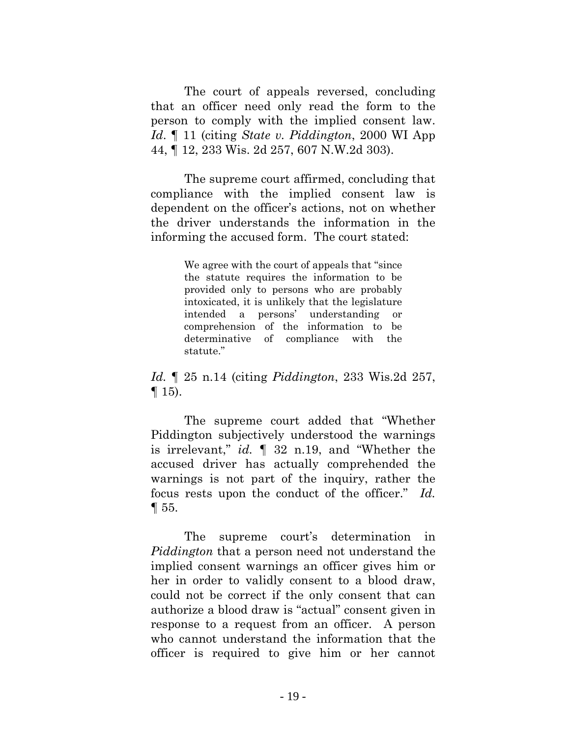The court of appeals reversed, concluding that an officer need only read the form to the person to comply with the implied consent law. *Id*. ¶ 11 (citing *State v. Piddington*, 2000 WI App 44, ¶ 12, 233 Wis. 2d 257, 607 N.W.2d 303).

The supreme court affirmed, concluding that compliance with the implied consent law is dependent on the officer's actions, not on whether the driver understands the information in the informing the accused form. The court stated:

> We agree with the court of appeals that "since the statute requires the information to be provided only to persons who are probably intoxicated, it is unlikely that the legislature intended a persons' understanding or comprehension of the information to be determinative of compliance with the statute."

*Id.* ¶ 25 n.14 (citing *Piddington*, 233 Wis.2d 257,  $\P$  15).

The supreme court added that "Whether Piddington subjectively understood the warnings is irrelevant," *id.* ¶ 32 n.19, and "Whether the accused driver has actually comprehended the warnings is not part of the inquiry, rather the focus rests upon the conduct of the officer." *Id.* ¶ 55.

The supreme court's determination in *Piddington* that a person need not understand the implied consent warnings an officer gives him or her in order to validly consent to a blood draw, could not be correct if the only consent that can authorize a blood draw is "actual" consent given in response to a request from an officer. A person who cannot understand the information that the officer is required to give him or her cannot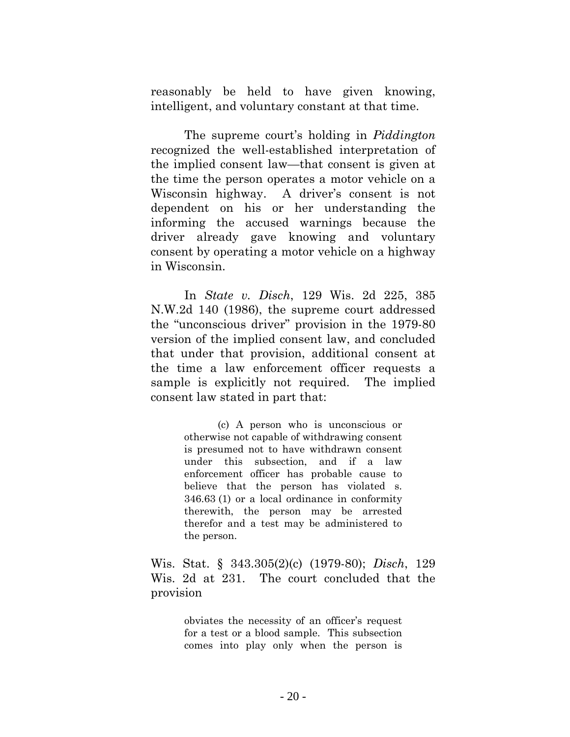reasonably be held to have given knowing, intelligent, and voluntary constant at that time.

The supreme court's holding in *Piddington* recognized the well-established interpretation of the implied consent law—that consent is given at the time the person operates a motor vehicle on a Wisconsin highway. A driver's consent is not dependent on his or her understanding the informing the accused warnings because the driver already gave knowing and voluntary consent by operating a motor vehicle on a highway in Wisconsin.

In *State v. Disch*, 129 Wis. 2d 225, 385 N.W.2d 140 (1986), the supreme court addressed the "unconscious driver" provision in the 1979-80 version of the implied consent law, and concluded that under that provision, additional consent at the time a law enforcement officer requests a sample is explicitly not required. The implied consent law stated in part that:

> (c) A person who is unconscious or otherwise not capable of withdrawing consent is presumed not to have withdrawn consent under this subsection, and if a law enforcement officer has probable cause to believe that the person has violated s. 346.63 (1) or a local ordinance in conformity therewith, the person may be arrested therefor and a test may be administered to the person.

Wis. Stat. § 343.305(2)(c) (1979-80); *Disch*, 129 Wis. 2d at 231. The court concluded that the provision

> obviates the necessity of an officer's request for a test or a blood sample. This subsection comes into play only when the person is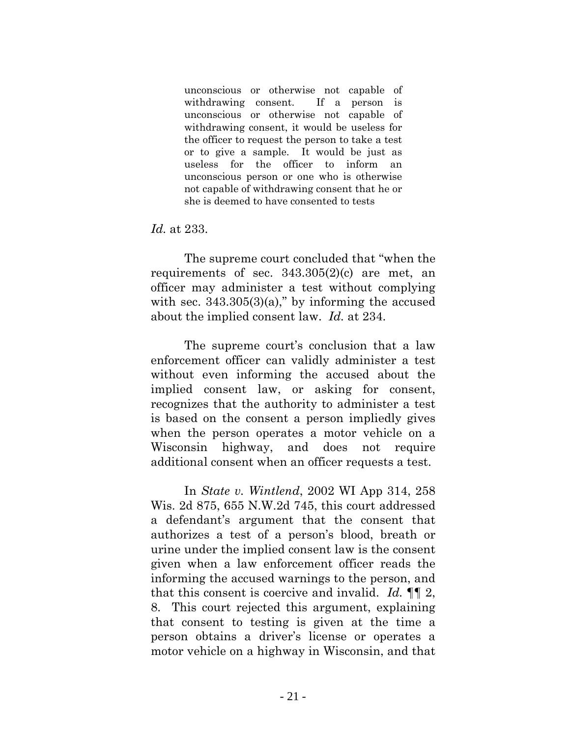unconscious or otherwise not capable of withdrawing consent. If a person is unconscious or otherwise not capable of withdrawing consent, it would be useless for the officer to request the person to take a test or to give a sample. It would be just as useless for the officer to inform an unconscious person or one who is otherwise not capable of withdrawing consent that he or she is deemed to have consented to tests

*Id.* at 233.

The supreme court concluded that "when the requirements of sec.  $343.305(2)(c)$  are met, an officer may administer a test without complying with sec.  $343.305(3)(a)$ ," by informing the accused about the implied consent law. *Id.* at 234.

The supreme court's conclusion that a law enforcement officer can validly administer a test without even informing the accused about the implied consent law, or asking for consent, recognizes that the authority to administer a test is based on the consent a person impliedly gives when the person operates a motor vehicle on a Wisconsin highway, and does not require additional consent when an officer requests a test.

In *State v. Wintlend*, 2002 WI App 314, 258 Wis. 2d 875, 655 N.W.2d 745, this court addressed a defendant's argument that the consent that authorizes a test of a person's blood, breath or urine under the implied consent law is the consent given when a law enforcement officer reads the informing the accused warnings to the person, and that this consent is coercive and invalid. *Id.* ¶¶ 2, 8. This court rejected this argument, explaining that consent to testing is given at the time a person obtains a driver's license or operates a motor vehicle on a highway in Wisconsin, and that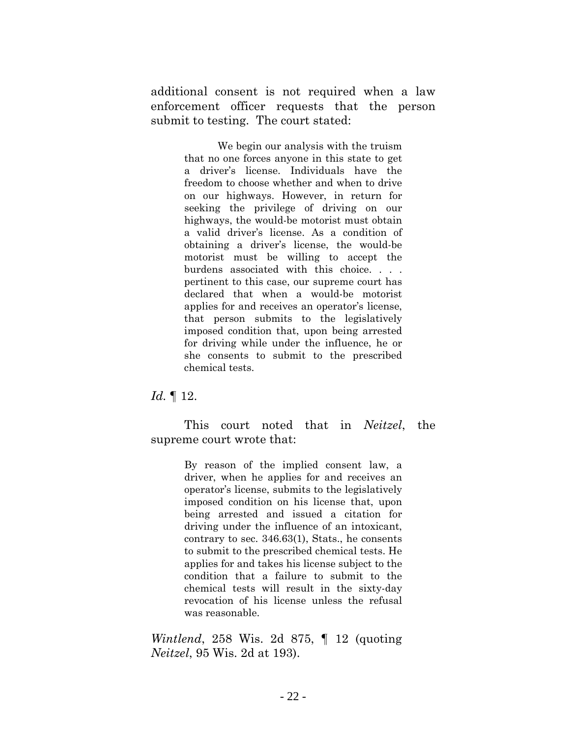additional consent is not required when a law enforcement officer requests that the person submit to testing. The court stated:

> We begin our analysis with the truism that no one forces anyone in this state to get a driver's license. Individuals have the freedom to choose whether and when to drive on our highways. However, in return for seeking the privilege of driving on our highways, the would-be motorist must obtain a valid driver's license. As a condition of obtaining a driver's license, the would-be motorist must be willing to accept the burdens associated with this choice. . . . pertinent to this case, our supreme court has declared that when a would-be motorist applies for and receives an operator's license, that person submits to the legislatively imposed condition that, upon being arrested for driving while under the influence, he or she consents to submit to the prescribed chemical tests.

*Id.* ¶ 12.

This court noted that in *Neitzel*, the supreme court wrote that:

> By reason of the implied consent law, a driver, when he applies for and receives an operator's license, submits to the legislatively imposed condition on his license that, upon being arrested and issued a citation for driving under the influence of an intoxicant, contrary to sec. 346.63(1), Stats., he consents to submit to the prescribed chemical tests. He applies for and takes his license subject to the condition that a failure to submit to the chemical tests will result in the sixty-day revocation of his license unless the refusal was reasonable.

*Wintlend*, 258 Wis. 2d 875, ¶ 12 (quoting *Neitzel*, 95 Wis. 2d at 193).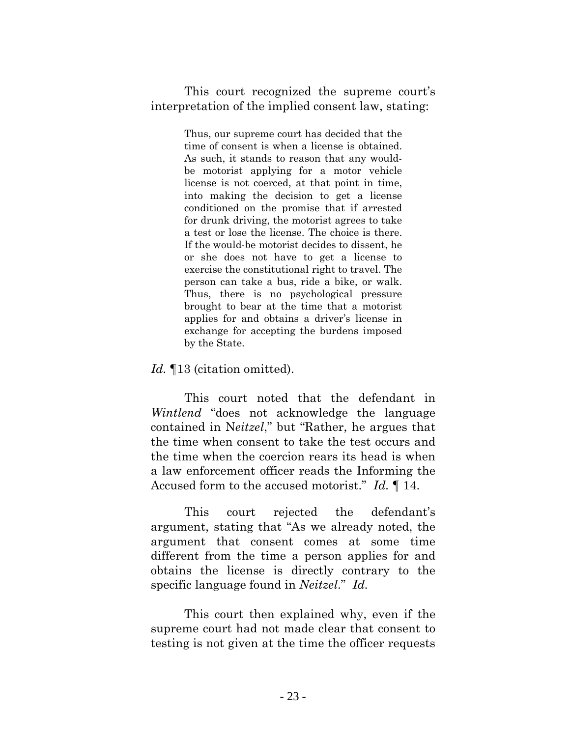This court recognized the supreme court's interpretation of the implied consent law, stating:

> Thus, our supreme court has decided that the time of consent is when a license is obtained. As such, it stands to reason that any wouldbe motorist applying for a motor vehicle license is not coerced, at that point in time, into making the decision to get a license conditioned on the promise that if arrested for drunk driving, the motorist agrees to take a test or lose the license. The choice is there. If the would-be motorist decides to dissent, he or she does not have to get a license to exercise the constitutional right to travel. The person can take a bus, ride a bike, or walk. Thus, there is no psychological pressure brought to bear at the time that a motorist applies for and obtains a driver's license in exchange for accepting the burdens imposed by the State.

## *Id.* ¶13 (citation omitted).

This court noted that the defendant in *Wintlend* "does not acknowledge the language contained in N*eitzel*," but "Rather, he argues that the time when consent to take the test occurs and the time when the coercion rears its head is when a law enforcement officer reads the Informing the Accused form to the accused motorist." *Id.* ¶ 14.

This court rejected the defendant's argument, stating that "As we already noted, the argument that consent comes at some time different from the time a person applies for and obtains the license is directly contrary to the specific language found in *Neitzel*." *Id.*

This court then explained why, even if the supreme court had not made clear that consent to testing is not given at the time the officer requests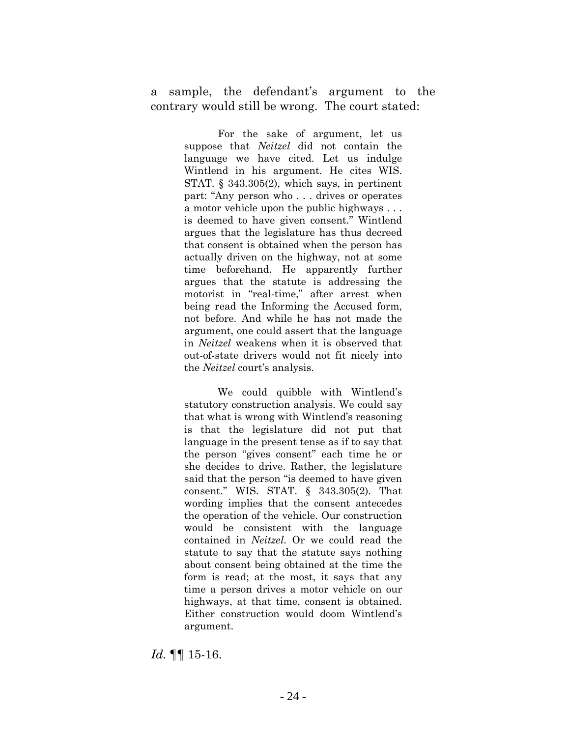a sample, the defendant's argument to the contrary would still be wrong. The court stated:

> For the sake of argument, let us suppose that *Neitzel* did not contain the language we have cited. Let us indulge Wintlend in his argument. He cites WIS. STAT. § 343.305(2), which says, in pertinent part: "Any person who . . . drives or operates a motor vehicle upon the public highways . . . is deemed to have given consent." Wintlend argues that the legislature has thus decreed that consent is obtained when the person has actually driven on the highway, not at some time beforehand. He apparently further argues that the statute is addressing the motorist in "real-time," after arrest when being read the Informing the Accused form, not before. And while he has not made the argument, one could assert that the language in *Neitzel* weakens when it is observed that out-of-state drivers would not fit nicely into the *Neitzel* court's analysis.

> We could quibble with Wintlend's statutory construction analysis. We could say that what is wrong with Wintlend's reasoning is that the legislature did not put that language in the present tense as if to say that the person "gives consent" each time he or she decides to drive. Rather, the legislature said that the person "is deemed to have given consent." WIS. STAT. § 343.305(2). That wording implies that the consent antecedes the operation of the vehicle. Our construction would be consistent with the language contained in *Neitzel*. Or we could read the statute to say that the statute says nothing about consent being obtained at the time the form is read; at the most, it says that any time a person drives a motor vehicle on our highways, at that time, consent is obtained. Either construction would doom Wintlend's argument.

*Id.* ¶¶ 15-16.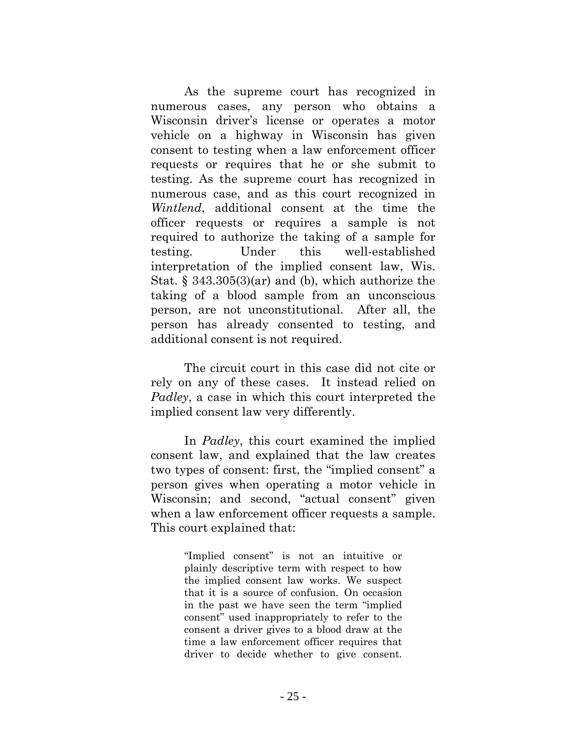As the supreme court has recognized in numerous cases, any person who obtains a Wisconsin driver's license or operates a motor vehicle on a highway in Wisconsin has given consent to testing when a law enforcement officer requests or requires that he or she submit to testing. As the supreme court has recognized in numerous case, and as this court recognized in *Wintlend*, additional consent at the time the officer requests or requires a sample is not required to authorize the taking of a sample for testing. Under this well-established interpretation of the implied consent law, Wis. Stat. § 343.305(3)(ar) and (b), which authorize the taking of a blood sample from an unconscious person, are not unconstitutional. After all, the person has already consented to testing, and additional consent is not required.

The circuit court in this case did not cite or rely on any of these cases. It instead relied on *Padley*, a case in which this court interpreted the implied consent law very differently.

In *Padley*, this court examined the implied consent law, and explained that the law creates two types of consent: first, the "implied consent" a person gives when operating a motor vehicle in Wisconsin; and second, "actual consent" given when a law enforcement officer requests a sample. This court explained that:

> "Implied consent" is not an intuitive or plainly descriptive term with respect to how the implied consent law works. We suspect that it is a source of confusion. On occasion in the past we have seen the term "implied consent" used inappropriately to refer to the consent a driver gives to a blood draw at the time a law enforcement officer requires that driver to decide whether to give consent.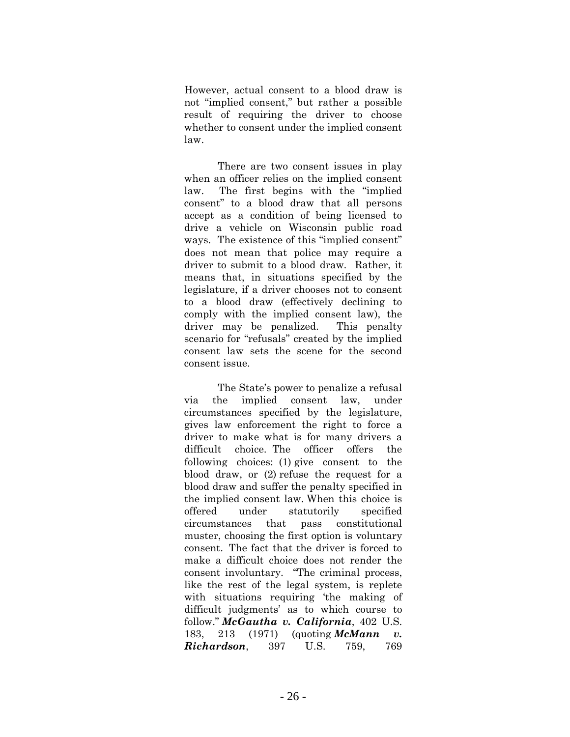However, actual consent to a blood draw is not "implied consent," but rather a possible result of requiring the driver to choose whether to consent under the implied consent law.

There are two consent issues in play when an officer relies on the implied consent law. The first begins with the "implied consent" to a blood draw that all persons accept as a condition of being licensed to drive a vehicle on Wisconsin public road ways. The existence of this "implied consent" does not mean that police may require a driver to submit to a blood draw. Rather, it means that, in situations specified by the legislature, if a driver chooses not to consent to a blood draw (effectively declining to comply with the implied consent law), the driver may be penalized. This penalty scenario for "refusals" created by the implied consent law sets the scene for the second consent issue.

The State's power to penalize a refusal via the implied consent law, under circumstances specified by the legislature, gives law enforcement the right to force a driver to make what is for many drivers a difficult choice. The officer offers the following choices: (1) give consent to the blood draw, or (2) refuse the request for a blood draw and suffer the penalty specified in the implied consent law. When this choice is offered under statutorily specified circumstances that pass constitutional muster, choosing the first option is voluntary consent. The fact that the driver is forced to make a difficult choice does not render the consent involuntary. "The criminal process, like the rest of the legal system, is replete with situations requiring 'the making of difficult judgments' as to which course to follow." *McGautha v. California*, 402 U.S. 183, 213 (1971) (quoting *McMann v. Richardson*, 397 U.S. 759, 769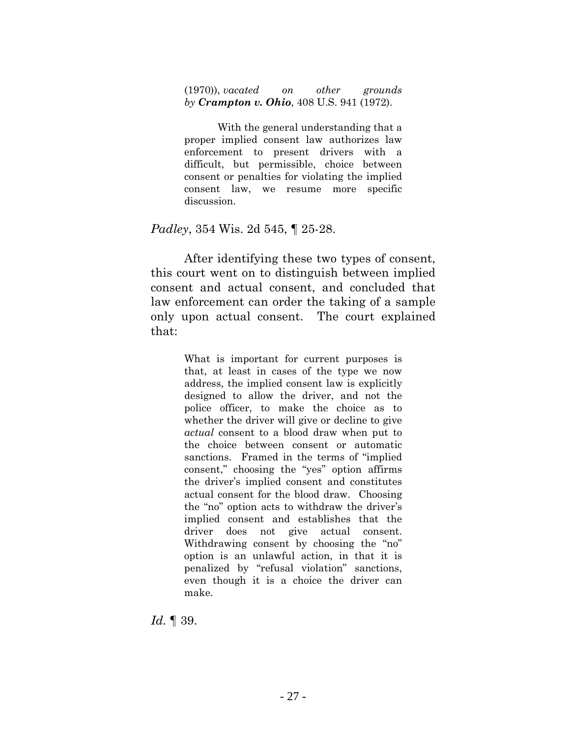(1970)), *vacated on other grounds by Crampton v. Ohio*, 408 U.S. 941 (1972).

With the general understanding that a proper implied consent law authorizes law enforcement to present drivers with a difficult, but permissible, choice between consent or penalties for violating the implied consent law, we resume more specific discussion.

#### *Padley*, 354 Wis. 2d 545, ¶ 25-28.

After identifying these two types of consent, this court went on to distinguish between implied consent and actual consent, and concluded that law enforcement can order the taking of a sample only upon actual consent. The court explained that:

> What is important for current purposes is that, at least in cases of the type we now address, the implied consent law is explicitly designed to allow the driver, and not the police officer, to make the choice as to whether the driver will give or decline to give *actual* consent to a blood draw when put to the choice between consent or automatic sanctions. Framed in the terms of "implied consent," choosing the "yes" option affirms the driver's implied consent and constitutes actual consent for the blood draw. Choosing the "no" option acts to withdraw the driver's implied consent and establishes that the driver does not give actual consent. Withdrawing consent by choosing the "no" option is an unlawful action, in that it is penalized by "refusal violation" sanctions, even though it is a choice the driver can make.

*Id.* ¶ 39.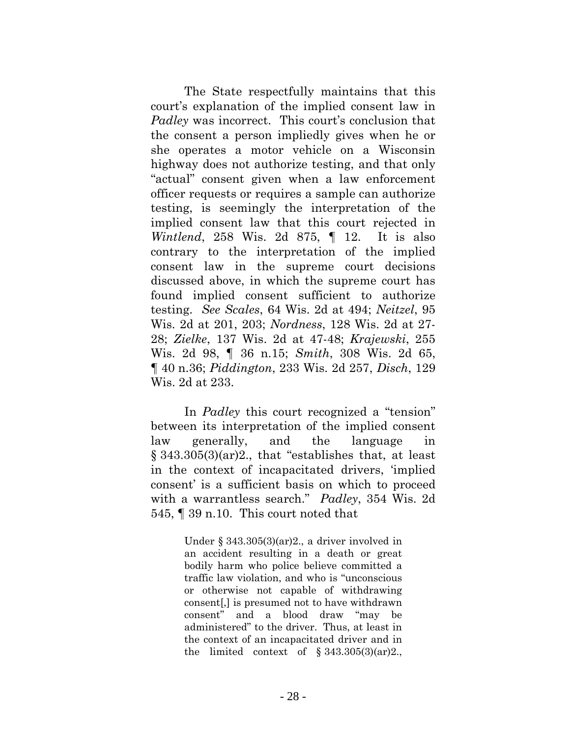The State respectfully maintains that this court's explanation of the implied consent law in *Padley* was incorrect. This court's conclusion that the consent a person impliedly gives when he or she operates a motor vehicle on a Wisconsin highway does not authorize testing, and that only "actual" consent given when a law enforcement officer requests or requires a sample can authorize testing, is seemingly the interpretation of the implied consent law that this court rejected in *Wintlend*, 258 Wis. 2d 875, ¶ 12. It is also contrary to the interpretation of the implied consent law in the supreme court decisions discussed above, in which the supreme court has found implied consent sufficient to authorize testing. *See Scales*, 64 Wis. 2d at 494; *Neitzel*, 95 Wis. 2d at 201, 203; *Nordness*, 128 Wis. 2d at 27- 28; *Zielke*, 137 Wis. 2d at 47-48; *Krajewski*, 255 Wis. 2d 98, ¶ 36 n.15; *Smith*, 308 Wis. 2d 65, ¶ 40 n.36; *Piddington*, 233 Wis. 2d 257, *Disch*, 129 Wis. 2d at 233.

In *Padley* this court recognized a "tension" between its interpretation of the implied consent law generally, and the language in § 343.305(3)(ar)2., that "establishes that, at least in the context of incapacitated drivers, 'implied consent' is a sufficient basis on which to proceed with a warrantless search." *Padley*, 354 Wis. 2d 545, ¶ 39 n.10. This court noted that

> Under § 343.305(3)(ar)2., a driver involved in an accident resulting in a death or great bodily harm who police believe committed a traffic law violation, and who is "unconscious or otherwise not capable of withdrawing consent[,] is presumed not to have withdrawn consent" and a blood draw "may be administered" to the driver. Thus, at least in the context of an incapacitated driver and in the limited context of  $\S 343.305(3)(\text{ar})2$ .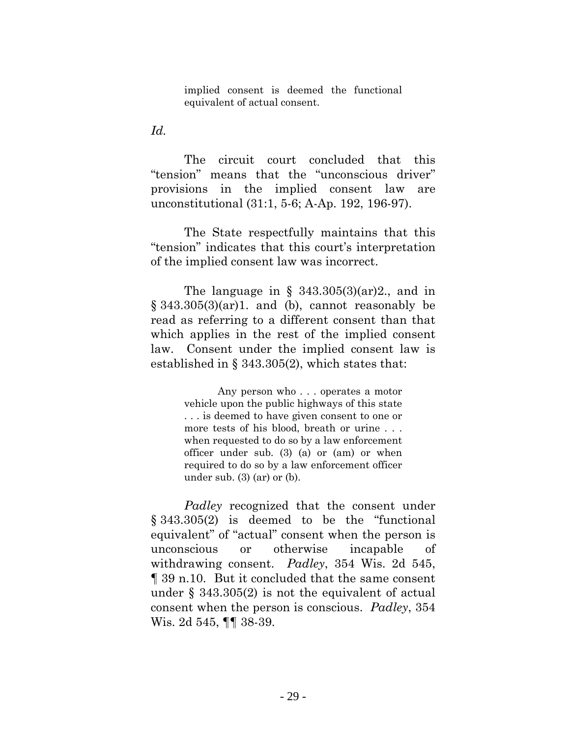implied consent is deemed the functional equivalent of actual consent.

*Id.* 

The circuit court concluded that this "tension" means that the "unconscious driver" provisions in the implied consent law are unconstitutional (31:1, 5-6; A-Ap. 192, 196-97).

The State respectfully maintains that this "tension" indicates that this court's interpretation of the implied consent law was incorrect.

The language in §  $343.305(3)(ar)2$ , and in  $\S$  343.305(3)(ar)1. and (b), cannot reasonably be read as referring to a different consent than that which applies in the rest of the implied consent law. Consent under the implied consent law is established in § 343.305(2), which states that:

> Any person who . . . operates a motor vehicle upon the public highways of this state . . . is deemed to have given consent to one or more tests of his blood, breath or urine . . . when requested to do so by a law enforcement officer under sub. (3) (a) or (am) or when required to do so by a law enforcement officer under sub.  $(3)$   $(ar)$  or  $(b)$ .

*Padley* recognized that the consent under § 343.305(2) is deemed to be the "functional equivalent" of "actual" consent when the person is unconscious or otherwise incapable of withdrawing consent. *Padley*, 354 Wis. 2d 545, ¶ 39 n.10. But it concluded that the same consent under § 343.305(2) is not the equivalent of actual consent when the person is conscious. *Padley*, 354 Wis. 2d 545, ¶¶ 38-39.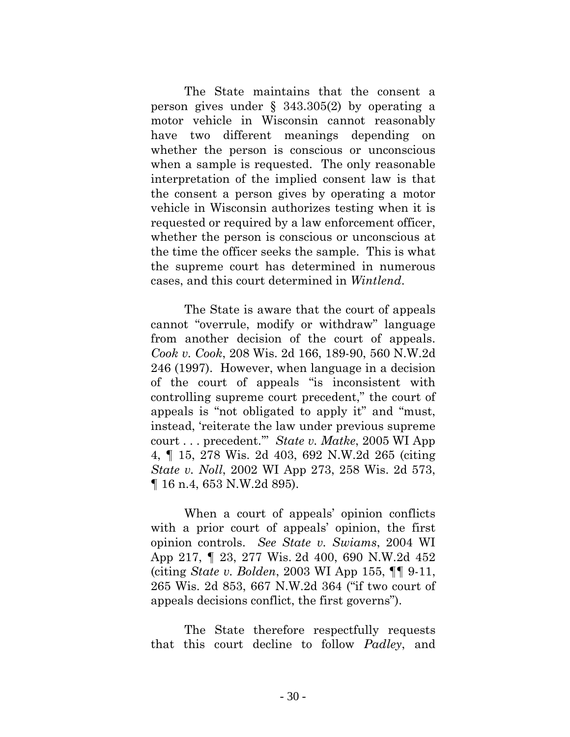The State maintains that the consent a person gives under  $\S$  343.305(2) by operating a motor vehicle in Wisconsin cannot reasonably have two different meanings depending on whether the person is conscious or unconscious when a sample is requested. The only reasonable interpretation of the implied consent law is that the consent a person gives by operating a motor vehicle in Wisconsin authorizes testing when it is requested or required by a law enforcement officer, whether the person is conscious or unconscious at the time the officer seeks the sample. This is what the supreme court has determined in numerous cases, and this court determined in *Wintlend*.

The State is aware that the court of appeals cannot "overrule, modify or withdraw" language from another decision of the court of appeals. *Cook v. Cook*, 208 Wis. 2d 166, 189-90, 560 N.W.2d 246 (1997). However, when language in a decision of the court of appeals "is inconsistent with controlling supreme court precedent," the court of appeals is "not obligated to apply it" and "must, instead, 'reiterate the law under previous supreme court . . . precedent.'" *State v. Matke*, 2005 WI App 4, ¶ 15, 278 Wis. 2d 403, 692 N.W.2d 265 (citing *State v. Noll*, 2002 WI App 273, 258 Wis. 2d 573, ¶ 16 n.4, 653 N.W.2d 895).

When a court of appeals' opinion conflicts with a prior court of appeals' opinion, the first opinion controls. *See State v. Swiams*, 2004 WI App 217, ¶ 23, 277 Wis. 2d 400, 690 N.W.2d 452 (citing *State v. Bolden*, 2003 WI App 155, ¶¶ 9-11, 265 Wis. 2d 853, 667 N.W.2d 364 ("if two court of appeals decisions conflict, the first governs").

The State therefore respectfully requests that this court decline to follow *Padley*, and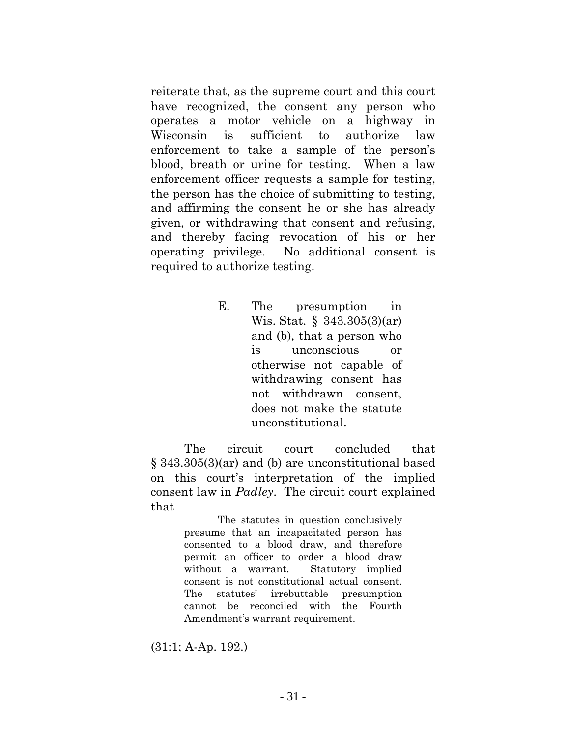reiterate that, as the supreme court and this court have recognized, the consent any person who operates a motor vehicle on a highway in Wisconsin is sufficient to authorize law enforcement to take a sample of the person's blood, breath or urine for testing. When a law enforcement officer requests a sample for testing, the person has the choice of submitting to testing, and affirming the consent he or she has already given, or withdrawing that consent and refusing, and thereby facing revocation of his or her operating privilege. No additional consent is required to authorize testing.

> E. The presumption in Wis. Stat. § 343.305(3)(ar) and (b), that a person who is unconscious or otherwise not capable of withdrawing consent has not withdrawn consent, does not make the statute unconstitutional.

The circuit court concluded that § 343.305(3)(ar) and (b) are unconstitutional based on this court's interpretation of the implied consent law in *Padley*. The circuit court explained that

> The statutes in question conclusively presume that an incapacitated person has consented to a blood draw, and therefore permit an officer to order a blood draw without a warrant. Statutory implied consent is not constitutional actual consent. The statutes' irrebuttable presumption cannot be reconciled with the Fourth Amendment's warrant requirement.

(31:1; A-Ap. 192.)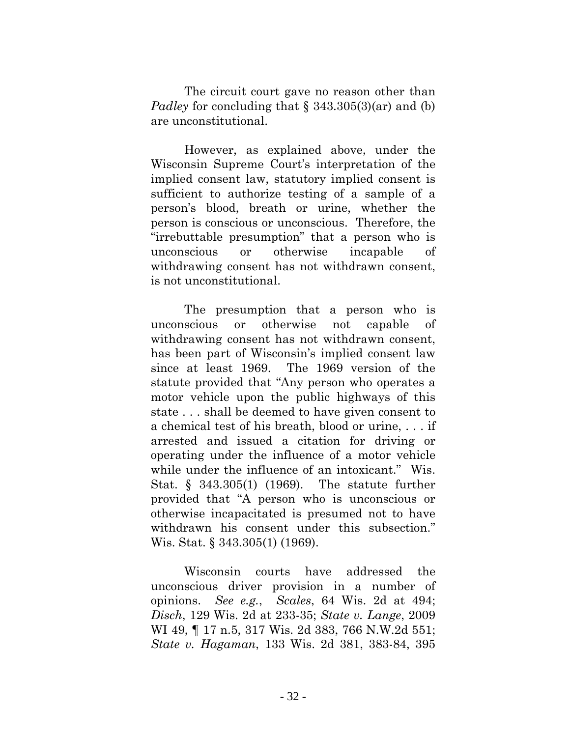The circuit court gave no reason other than *Padley* for concluding that § 343.305(3)(ar) and (b) are unconstitutional.

However, as explained above, under the Wisconsin Supreme Court's interpretation of the implied consent law, statutory implied consent is sufficient to authorize testing of a sample of a person's blood, breath or urine, whether the person is conscious or unconscious. Therefore, the "irrebuttable presumption" that a person who is unconscious or otherwise incapable of withdrawing consent has not withdrawn consent, is not unconstitutional.

The presumption that a person who is unconscious or otherwise not capable of withdrawing consent has not withdrawn consent, has been part of Wisconsin's implied consent law since at least 1969. The 1969 version of the statute provided that "Any person who operates a motor vehicle upon the public highways of this state . . . shall be deemed to have given consent to a chemical test of his breath, blood or urine, . . . if arrested and issued a citation for driving or operating under the influence of a motor vehicle while under the influence of an intoxicant." Wis. Stat. § 343.305(1) (1969). The statute further provided that "A person who is unconscious or otherwise incapacitated is presumed not to have withdrawn his consent under this subsection." Wis. Stat. § 343.305(1) (1969).

Wisconsin courts have addressed the unconscious driver provision in a number of opinions. *See e.g.*, *Scales*, 64 Wis. 2d at 494; *Disch*, 129 Wis. 2d at 233-35; *State v. Lange*, 2009 WI 49, 17 n.5, 317 Wis. 2d 383, 766 N.W.2d 551; *State v. Hagaman*, 133 Wis. 2d 381, 383-84, 395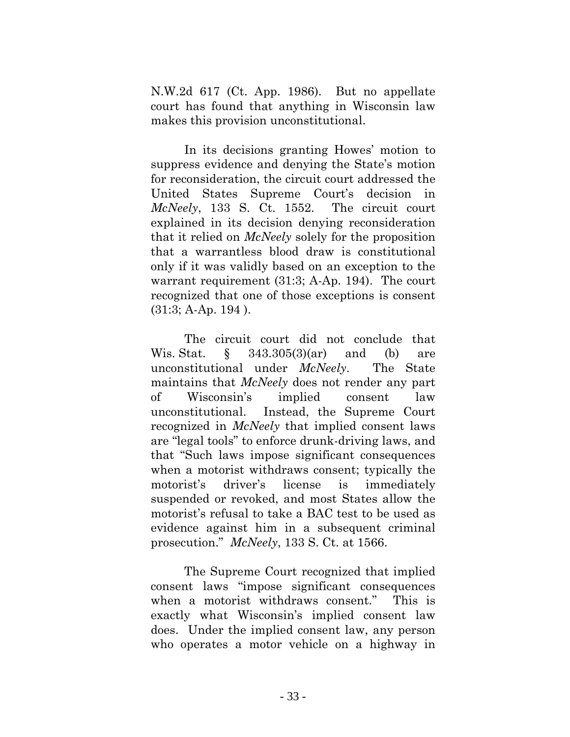N.W.2d 617 (Ct. App. 1986). But no appellate court has found that anything in Wisconsin law makes this provision unconstitutional.

In its decisions granting Howes' motion to suppress evidence and denying the State's motion for reconsideration, the circuit court addressed the United States Supreme Court's decision in *McNeely*, 133 S. Ct. 1552. The circuit court explained in its decision denying reconsideration that it relied on *McNeely* solely for the proposition that a warrantless blood draw is constitutional only if it was validly based on an exception to the warrant requirement (31:3; A-Ap. 194). The court recognized that one of those exceptions is consent  $(31:3; A-Ap. 194)$ .

The circuit court did not conclude that Wis. Stat. § 343.305(3)(ar) and (b) are unconstitutional under *McNeely*. The State maintains that *McNeely* does not render any part of Wisconsin's implied consent law unconstitutional. Instead, the Supreme Court recognized in *McNeely* that implied consent laws are "legal tools" to enforce drunk-driving laws, and that "Such laws impose significant consequences when a motorist withdraws consent; typically the motorist's driver's license is immediately suspended or revoked, and most States allow the motorist's refusal to take a BAC test to be used as evidence against him in a subsequent criminal prosecution." *McNeely*, 133 S. Ct. at 1566.

The Supreme Court recognized that implied consent laws "impose significant consequences when a motorist withdraws consent." This is exactly what Wisconsin's implied consent law does. Under the implied consent law, any person who operates a motor vehicle on a highway in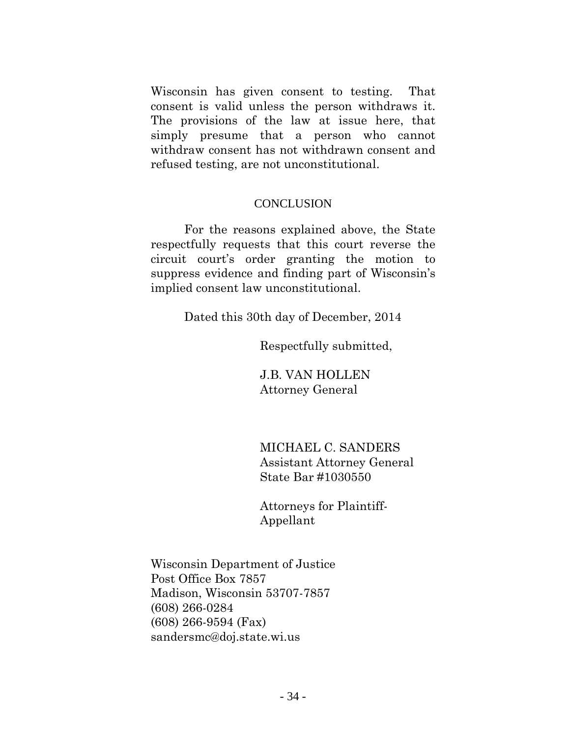Wisconsin has given consent to testing. That consent is valid unless the person withdraws it. The provisions of the law at issue here, that simply presume that a person who cannot withdraw consent has not withdrawn consent and refused testing, are not unconstitutional.

#### **CONCLUSION**

For the reasons explained above, the State respectfully requests that this court reverse the circuit court's order granting the motion to suppress evidence and finding part of Wisconsin's implied consent law unconstitutional.

Dated this 30th day of December, 2014

Respectfully submitted,

J.B. VAN HOLLEN Attorney General

MICHAEL C. SANDERS Assistant Attorney General State Bar #1030550

Attorneys for Plaintiff-Appellant

Wisconsin Department of Justice Post Office Box 7857 Madison, Wisconsin 53707-7857 (608) 266-0284 (608) 266-9594 (Fax) sandersmc@doj.state.wi.us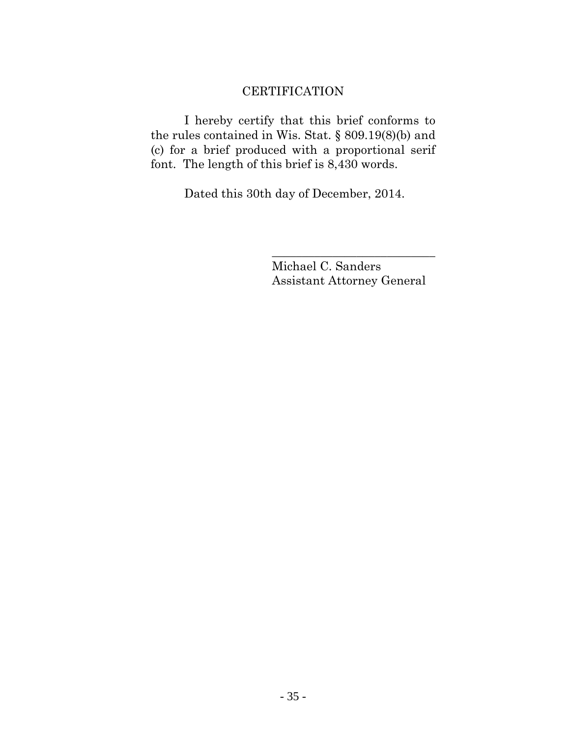# **CERTIFICATION**

I hereby certify that this brief conforms to the rules contained in Wis. Stat. § 809.19(8)(b) and (c) for a brief produced with a proportional serif font. The length of this brief is 8,430 words.

Dated this 30th day of December, 2014.

Michael C. Sanders Assistant Attorney General

\_\_\_\_\_\_\_\_\_\_\_\_\_\_\_\_\_\_\_\_\_\_\_\_\_\_\_